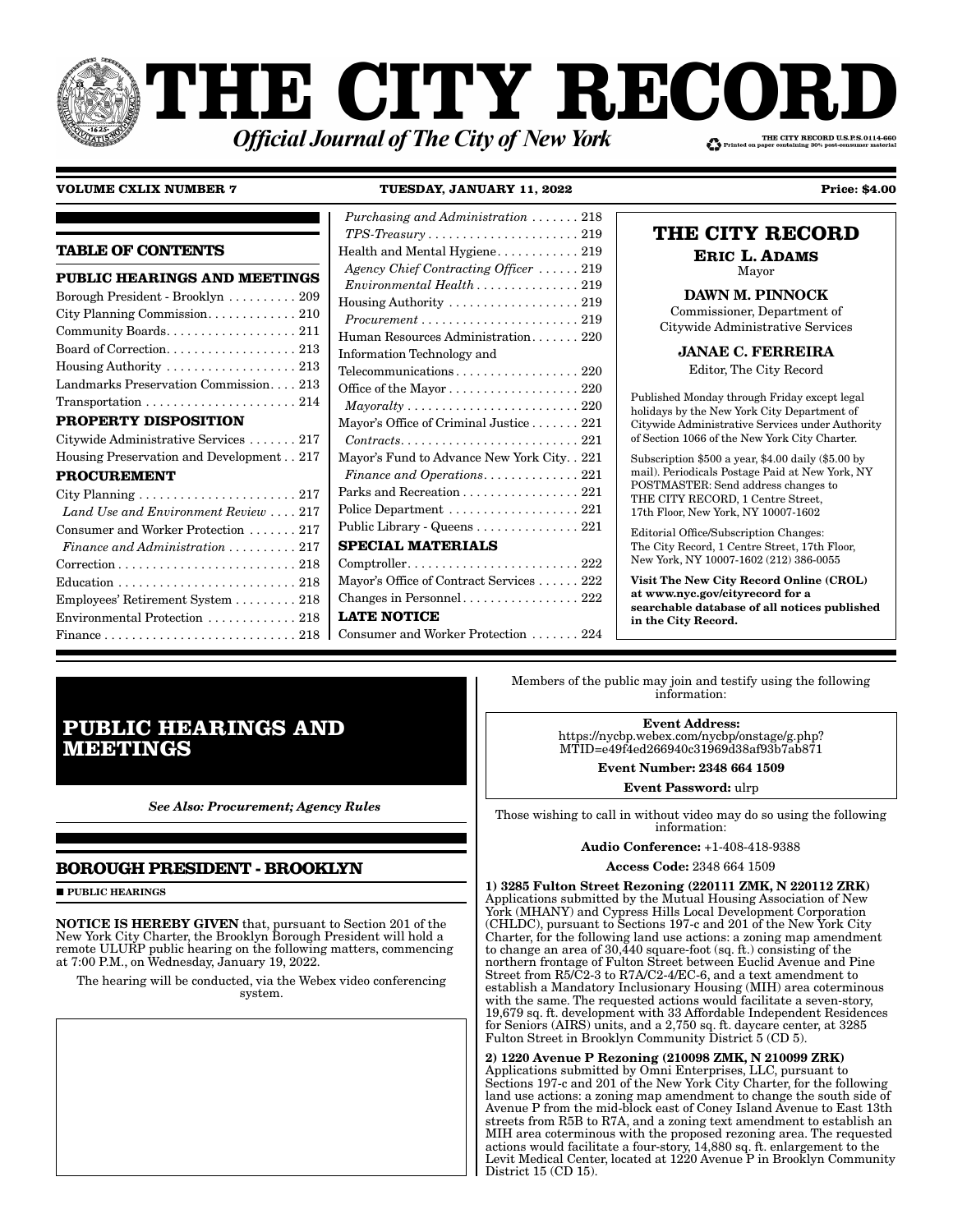# PHE CITY RECOI THE CITY RECORD U.S.P.S.0114-660 **Official Journal of The City of New York**

# **VOLUME CXLIX NUMBER 7**

TUESDAY, JANUARY 11, 2022

**Price: \$4.00** 

# **TABLE OF CONTENTS**

| <b>PUBLIC HEARINGS AND MEETINGS</b>                                                    |
|----------------------------------------------------------------------------------------|
| Borough President - Brooklyn  209                                                      |
| City Planning Commission. 210                                                          |
| Community Boards. 211                                                                  |
|                                                                                        |
| Housing Authority $\dots \dots \dots \dots \dots \dots 213$                            |
| Landmarks Preservation Commission 213                                                  |
| $Transportation \ldots \ldots \ldots \ldots \ldots \ldots 214$                         |
| <b>PROPERTY DISPOSITION</b>                                                            |
| Citywide Administrative Services  217                                                  |
| Housing Preservation and Development217                                                |
| <b>PROCUREMENT</b>                                                                     |
| City Planning  217                                                                     |
| Land Use and Environment Review  217                                                   |
| Consumer and Worker Protection  217                                                    |
| Finance and Administration $\ldots \ldots \ldots 217$                                  |
| $\text{Correction} \ldots \ldots \ldots \ldots \ldots \ldots \ldots \ldots \ldots 218$ |
|                                                                                        |
| Employees' Retirement System 218                                                       |
| Environmental Protection  218                                                          |
|                                                                                        |

| Purchasing and Administration  218                                         |
|----------------------------------------------------------------------------|
| $TPS\text{-}Treasury \ldots \ldots \ldots \ldots \ldots \ldots \ldots 219$ |
| Health and Mental Hygiene 219                                              |
| Agency Chief Contracting Officer  219                                      |
| $Environmental Health \ldots \ldots \ldots \ldots 219$                     |
| Housing Authority $\dots \dots \dots \dots \dots \dots 219$                |
| $Procurrent \ldots \ldots \ldots \ldots \ldots \ldots \ldots 219$          |
| Human Resources Administration 220                                         |
| Information Technology and                                                 |
| Telecommunications 220                                                     |
| Office of the Mayor $\dots \dots \dots \dots \dots \dots 220$              |
| $Mayoralty \ldots \ldots \ldots \ldots \ldots \ldots \ldots \ldots 220$    |
| Mayor's Office of Criminal Justice 221                                     |
| $Contracts. \ldots \ldots \ldots \ldots \ldots \ldots \ldots 221$          |
| Mayor's Fund to Advance New York City. . 221                               |
| Finance and Operations 221                                                 |
| Parks and Recreation 221                                                   |
| Police Department 221                                                      |
| Public Library - Queens 221                                                |
| <b>SPECIAL MATERIALS</b>                                                   |
| $Comptroller. \ldots \ldots \ldots \ldots \ldots \ldots \ldots \ldots 222$ |
| Mayor's Office of Contract Services 222                                    |
|                                                                            |
| <b>LATE NOTICE</b>                                                         |
| Consumer and Worker Protection  224                                        |

# THE CITY RECORD

**ERIC L. ADAMS** Mayor

**DAWN M. PINNOCK** 

Commissioner, Department of Citywide Administrative Services

**JANAE C. FERREIRA** 

Editor, The City Record

Published Monday through Friday except legal holidays by the New York City Department of Citywide Administrative Services under Authority of Section 1066 of the New York City Charter.

Subscription \$500 a year, \$4.00 daily (\$5.00 by mail). Periodicals Postage Paid at New York, NY POSTMASTER: Send address changes to THE CITY RECORD, 1 Centre Street, 17th Floor, New York, NY 10007-1602

Editorial Office/Subscription Changes: The City Record, 1 Centre Street, 17th Floor, New York, NY 10007-1602 (212) 386-0055

**Visit The New City Record Online (CROL)** at www.nyc.gov/cityrecord for a searchable database of all notices published in the City Record.

# **PUBLIC HEARINGS AND MEETINGS**

**See Also: Procurement; Agency Rules** 

# **BOROUGH PRESIDENT - BROOKLYN**

**PUBLIC HEARINGS** 

**NOTICE IS HEREBY GIVEN** that, pursuant to Section 201 of the New York City Charter, the Brooklyn Borough President will hold a remote ULURP public hearing on the following matters, commencing at 7:00 P.M., on Wednesday, January 19, 2022.

The hearing will be conducted, via the Webex video conferencing system.

Members of the public may join and testify using the following information:

> **Event Address:** https://nycbp.webex.com/nycbp/onstage/g.php?<br>MTID=e49f4ed266940c31969d38af93b7ab871

> > **Event Number: 2348 664 1509** Event Password: ulrp

Those wishing to call in without video may do so using the following information:

**Audio Conference: +1-408-418-9388** 

Access Code: 2348 664 1509

1) 3285 Fulton Street Rezoning (220111 ZMK, N 220112 ZRK) Applications submitted by the Mutual Housing Association of New York (MHANY) and Cypress Hills Local Development Corporation<br>(CHLDC), pursuant to Sections 197-c and 201 of the New York City Charter, for the following land use actions: a zoning map amendment to change an area of  $30,440$  square-foot (sq. ft.) consisting of the northern frontage of Fulton Street between Euclid Avenue and Pine Street from R5/C2-3 to R7A/C2-4/EC-6, and a text amendment to establish a Mandatory Inclusionary Housing (MIH) area coterminous with the same. The requested actions would facilitate a seven-story, 19,679 sq. ft. development with 33 Affordable Independent Residences for Seniors (AIRS) units, and a 2,750 sq. ft. daycare center, at 3285 Fulton Street in Brooklyn Community District 5 (CD 5).

2) 1220 Avenue P Rezoning (210098 ZMK, N 210099 ZRK) Applications submitted by Omni Enterprises, LLC, pursuant to Sections 197-c and 201 of the New York City Charter, for the following land use actions: a zoning map amendment to change the south side of Avenue P from the mid-block east of Coney Island Avenue to East 13th streets from R5B to R7A, and a zoning text amendment to establish an MIH area coterminous with the proposed rezoning area. The requested Actions would facilitate a four-story, 14,880 sq. ft. enlargement to the<br>Levit Medical Center, located at 1220 Avenue P in Brooklyn Community District 15 (CD 15).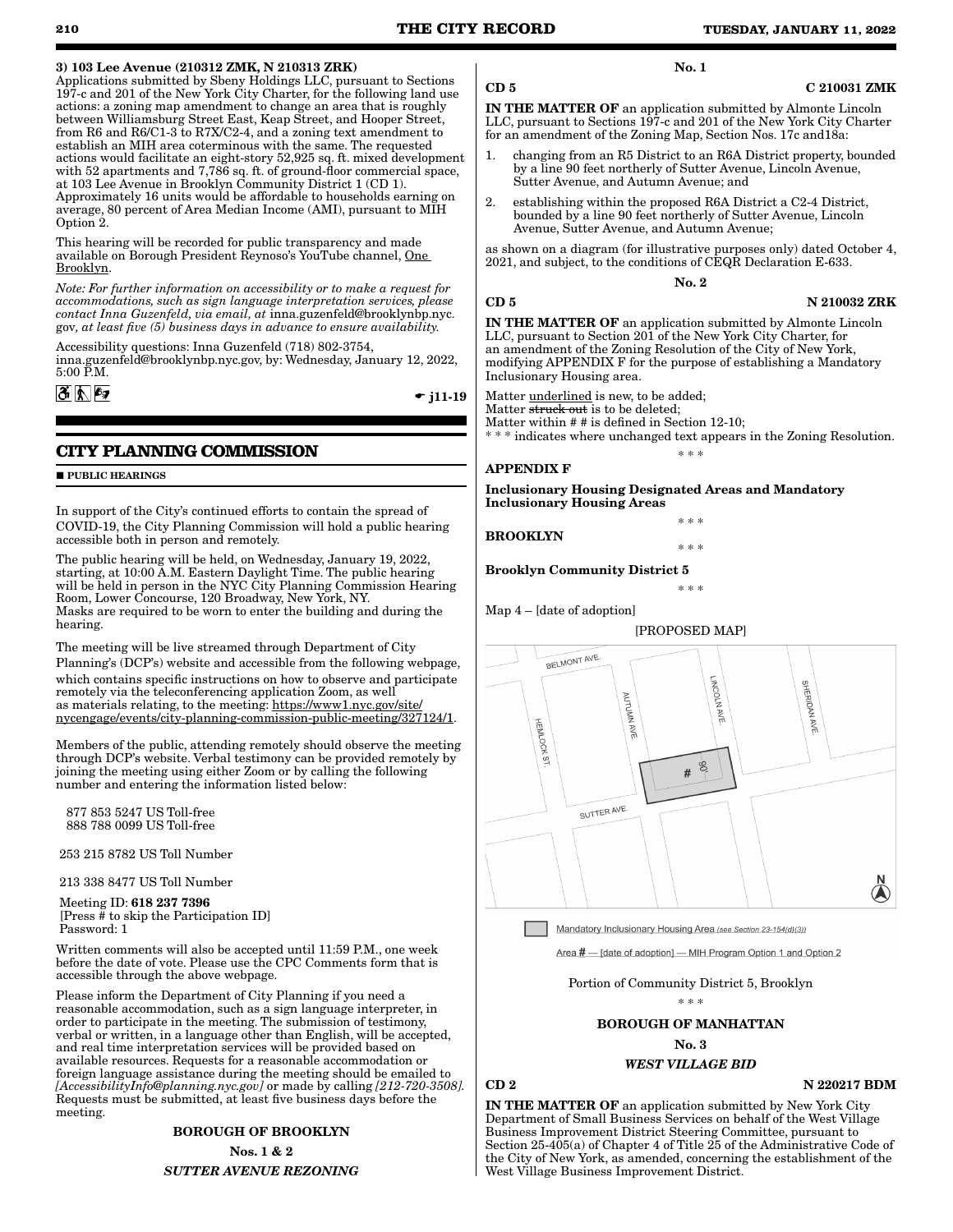## 3) 103 Lee Avenue (210312 ZMK, N 210313 ZRK)

Applications submitted by Sbeny Holdings LLC, pursuant to Sections 197-c and 201 of the New York City Charter, for the following land use actions: a zoning map amendment to change an area that is roughly between Williamsburg Street East, Keap Street, and Hooper Street, from R6 and R6/C1-3 to R7X/C2-4, and a zoning text amendment to establish an MIH area coterminous with the same. The requested actions would facilitate an eight-story 52,925 sq. ft. mixed development with 52 apartments and 7,786 sq. ft. of ground-floor commercial space, at 103 Lee Avenue in Brooklyn Community District 1 (CD 1). Approximately 16 units would be affordable to households earning on average, 80 percent of Area Median Income (AMI), pursuant to MIH Option 2.

This hearing will be recorded for public transparency and made available on Borough President Reynoso's YouTube channel, One Brooklyn.

*Note: For further information on accessibility or to make a request for accommodations, such as sign language interpretation services, please contact Inna Guzenfeld, via email, at* inna.guzenfeld@brooklynbp.nyc. gov*, at least five (5) business days in advance to ensure availability.*

Accessibility questions: Inna Guzenfeld (718) 802-3754, inna.guzenfeld@brooklynbp.nyc.gov, by: Wednesday, January 12, 2022, 5:00 P.M.

 $\div$  j11-19

# **CITY PLANNING COMMISSION**

#### **PUBLIC HEARINGS**

 $|\mathfrak{F}||\mathfrak{h}||$   $\mathfrak{g}$ 

In support of the City's continued efforts to contain the spread of COVID-19, the City Planning Commission will hold a public hearing accessible both in person and remotely.

The public hearing will be held, on Wednesday, January 19, 2022, starting, at 10:00 A.M. Eastern Daylight Time. The public hearing will be held in person in the NYC City Planning Commission Hearing Room, Lower Concourse, 120 Broadway, New York, NY. Masks are required to be worn to enter the building and during the hearing.

The meeting will be live streamed through Department of City Planning's (DCP's) website and accessible from the following webpage, which contains specific instructions on how to observe and participate remotely via the teleconferencing application Zoom, as well as materials relating, to the meeting: https://www1.nyc.gov/site/ nycengage/events/city-planning-commission-public-meeting/327124/1.

Members of the public, attending remotely should observe the meeting through DCP's website. Verbal testimony can be provided remotely by joining the meeting using either Zoom or by calling the following number and entering the information listed below:

 877 853 5247 US Toll-free 888 788 0099 US Toll-free

253 215 8782 US Toll Number

213 338 8477 US Toll Number

 Meeting ID: 618 237 7396 [Press # to skip the Participation ID] Password: 1

Written comments will also be accepted until 11:59 P.M., one week before the date of vote. Please use the CPC Comments form that is accessible through the above webpage.

Please inform the Department of City Planning if you need a reasonable accommodation, such as a sign language interpreter, in order to participate in the meeting. The submission of testimony, verbal or written, in a language other than English, will be accepted, and real time interpretation services will be provided based on available resources. Requests for a reasonable accommodation or foreign language assistance during the meeting should be emailed to *[AccessibilityInfo@planning.nyc.gov]* or made by calling *[212-720-3508].*  Requests must be submitted, at least five business days before the meeting.

> BOROUGH OF BROOKLYN Nos. 1 & 2 *SUTTER AVENUE REZONING*

#### CD 5 C 210031 ZMK

IN THE MATTER OF an application submitted by Almonte Lincoln LLC, pursuant to Sections 197-c and 201 of the New York City Charter for an amendment of the Zoning Map, Section Nos. 17c and18a:

No. 1

- changing from an R5 District to an R6A District property, bounded by a line 90 feet northerly of Sutter Avenue, Lincoln Avenue, Sutter Avenue, and Autumn Avenue; and
- 2. establishing within the proposed R6A District a C2-4 District, bounded by a line 90 feet northerly of Sutter Avenue, Lincoln Avenue, Sutter Avenue, and Autumn Avenue;

as shown on a diagram (for illustrative purposes only) dated October 4, 2021, and subject, to the conditions of CEQR Declaration E-633.

#### No. 2

CD 5 N 210032 ZRK

IN THE MATTER OF an application submitted by Almonte Lincoln LLC, pursuant to Section 201 of the New York City Charter, for an amendment of the Zoning Resolution of the City of New York, modifying APPENDIX F for the purpose of establishing a Mandatory Inclusionary Housing area.

Matter underlined is new, to be added;

Matter struck out is to be deleted;

Matter within # # is defined in Section 12-10;

\* indicates where unchanged text appears in the Zoning Resolution. \* \* \*

## APPENDIX F

Inclusionary Housing Designated Areas and Mandatory Inclusionary Housing Areas

BROOKLYN

Brooklyn Community District 5



Mandatory Inclusionary Housing Area (see Section 23-154(d)(3))

Area # - [date of adoption] - MIH Program Option 1 and Option 2

Portion of Community District 5, Brooklyn

\* \* \*

BOROUGH OF MANHATTAN

No. 3

# *WEST VILLAGE BID*

 $CD 2$  N  $220217$  BDM

IN THE MATTER OF an application submitted by New York City Department of Small Business Services on behalf of the West Village Business Improvement District Steering Committee, pursuant to Section 25-405(a) of Chapter 4 of Title  $25$  of the Administrative Code of the City of New York, as amended, concerning the establishment of the West Village Business Improvement District.

Map 4 – [date of adoption]

\* \* \* \* \* \*

\* \* \*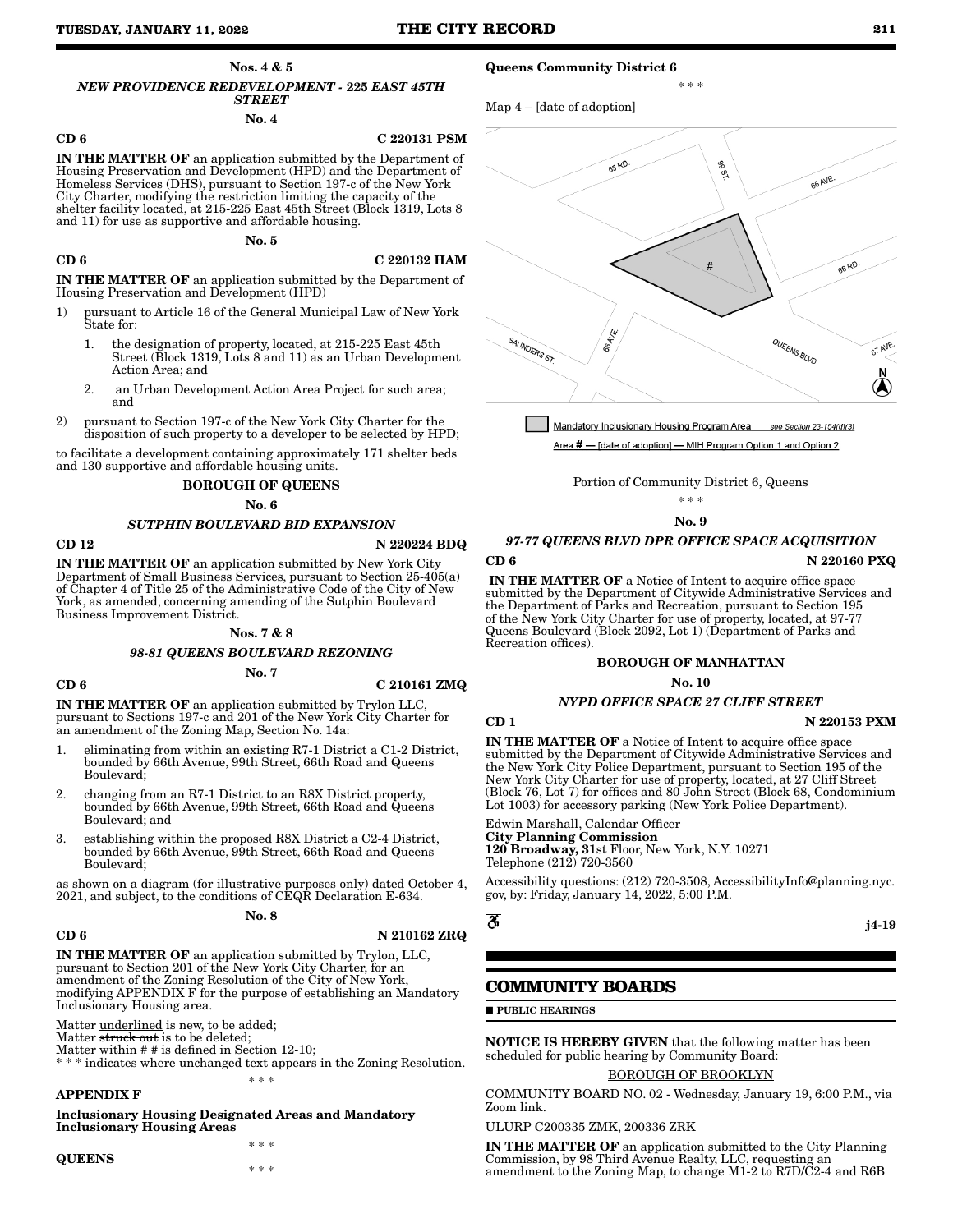Nos. 4 & 5

*NEW PROVIDENCE REDEVELOPMENT -* 225 *EAST 45TH STREET* No. 4

#### CD 6 C 220131 PSM

IN THE MATTER OF an application submitted by the Department of Housing Preservation and Development (HPD) and the Department of Homeless Services (DHS), pursuant to Section 197-c of the New York City Charter, modifying the restriction limiting the capacity of the shelter facility located, at 215-225 East 45th Street (Block 1319, Lots 8 and 11) for use as supportive and affordable housing.

No. 5

# $CD 6$  C 220132 HAM

IN THE MATTER OF an application submitted by the Department of Housing Preservation and Development (HPD)

- 1) pursuant to Article 16 of the General Municipal Law of New York State for:
	- 1. the designation of property, located, at 215-225 East 45th Street (Block 1319, Lots 8 and 11) as an Urban Development Action Area; and
	- 2. an Urban Development Action Area Project for such area; and
- 2) pursuant to Section 197-c of the New York City Charter for the disposition of such property to a developer to be selected by HPD;

to facilitate a development containing approximately 171 shelter beds and 130 supportive and affordable housing units.

### BOROUGH OF QUEENS

No. 6

### *SUTPHIN BOULEVARD BID EXPANSION*

CD 12 N 220224 BDQ

IN THE MATTER OF an application submitted by New York City Department of Small Business Services, pursuant to Section 25-405(a) of Chapter 4 of Title 25 of the Administrative Code of the City of New York, as amended, concerning amending of the Sutphin Boulevard Business Improvement District.

### Nos. 7 & 8

*98-81 QUEENS BOULEVARD REZONING* No. 7

#### $CD 6$  C 210161 ZMQ

IN THE MATTER OF an application submitted by Trylon LLC, pursuant to Sections 197-c and 201 of the New York City Charter for an amendment of the Zoning Map, Section No. 14a:

- 1. eliminating from within an existing R7-1 District a C1-2 District, bounded by 66th Avenue, 99th Street, 66th Road and Queens Boulevard;
- 2. changing from an R7-1 District to an R8X District property, bounded by 66th Avenue, 99th Street, 66th Road and Queens Boulevard; and
- 3. establishing within the proposed R8X District a C2-4 District, bounded by 66th Avenue, 99th Street, 66th Road and Queens Boulevard;

as shown on a diagram (for illustrative purposes only) dated October 4, 2021, and subject, to the conditions of CEQR Declaration E-634.

#### No. 8

### CD 6 N 210162 ZRQ

IN THE MATTER OF an application submitted by Trylon, LLC, pursuant to Section 201 of the New York City Charter, for an amendment of the Zoning Resolution of the City of New York, modifying APPENDIX F for the purpose of establishing an Mandatory Inclusionary Housing area.

\* \* \*

\* \* \*

Matter underlined is new, to be added;

Matter struck out is to be deleted;

Matter within # # is defined in Section 12-10; \* indicates where unchanged text appears in the Zoning Resolution.

APPENDIX F

Inclusionary Housing Designated Areas and Mandatory Inclusionary Housing Areas

**QUEENS** 

## Queens Community District 6

Map 4 – [date of adoption]



\* \* \*

Mandatory Inclusionary Housing Program Area see Section 23-154(d)(3) Area # - [date of adoption] - MIH Program Option 1 and Option 2

Portion of Community District 6, Queens

\* \* \*

### No. 9

# *97-77 QUEENS BLVD DPR OFFICE SPACE ACQUISITION* CD 6 N 220160 PXQ

IN THE MATTER OF a Notice of Intent to acquire office space submitted by the Department of Citywide Administrative Services and the Department of Parks and Recreation, pursuant to Section 195 of the New York City Charter for use of property, located, at 97-77 Queens Boulevard (Block 2092, Lot 1) (Department of Parks and Recreation offices).

# BOROUGH OF MANHATTAN

### No. 10

### *NYPD OFFICE SPACE 27 CLIFF STREET*

CD 1 N 220153 PXM

IN THE MATTER OF a Notice of Intent to acquire office space submitted by the Department of Citywide Administrative Services and the New York City Police Department, pursuant to Section 195 of the New York City Charter for use of property, located, at 27 Cliff Street (Block 76, Lot 7) for offices and 80 John Street (Block 68, Condominium Lot 1003) for accessory parking (New York Police Department).

Edwin Marshall, Calendar Officer City Planning Commission 120 Broadway, 31st Floor, New York, N.Y. 10271 Telephone (212) 720-3560

Accessibility questions: (212) 720-3508, AccessibilityInfo@planning.nyc. gov, by: Friday, January 14, 2022, 5:00 P.M.

$$
\mid \mathbf{3}
$$

#### j4-19

# **COMMUNITY BOARDS**

**PUBLIC HEARINGS** 

NOTICE IS HEREBY GIVEN that the following matter has been scheduled for public hearing by Community Board:

# BOROUGH OF BROOKLYN

COMMUNITY BOARD NO. 02 - Wednesday, January 19, 6:00 P.M., via Zoom link.

ULURP C200335 ZMK, 200336 ZRK

IN THE MATTER OF an application submitted to the City Planning Commission, by 98 Third Avenue Realty, LLC, requesting an amendment to the Zoning Map, to change M1-2 to R7D/C2-4 and R6B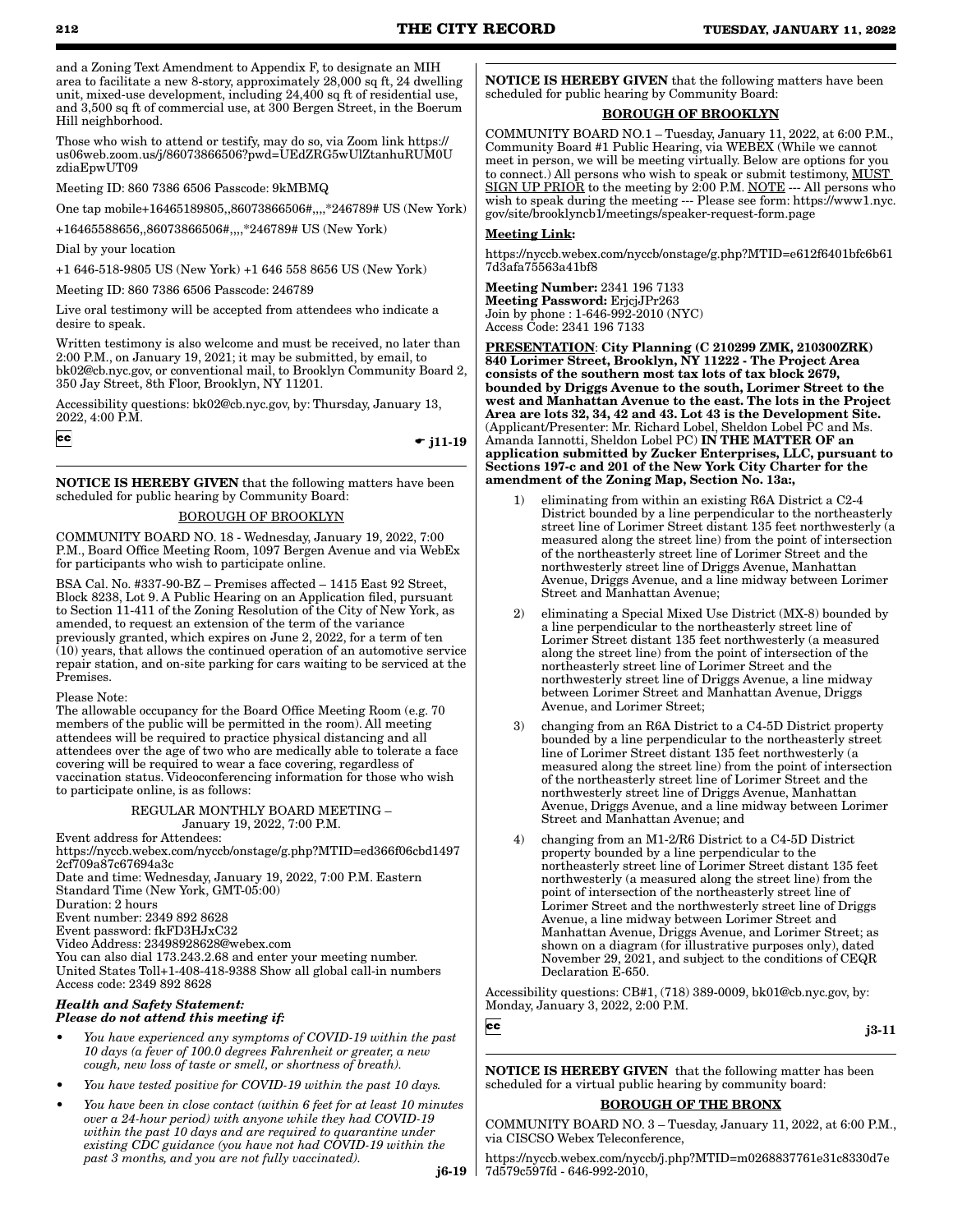and a Zoning Text Amendment to Appendix F, to designate an MIH area to facilitate a new 8-story, approximately 28,000 sq ft, 24 dwelling unit, mixed-use development, including 24,400 sq ft of residential use, and 3,500 sq ft of commercial use, at 300 Bergen Street, in the Boerum Hill neighborhood.

Those who wish to attend or testify, may do so, via Zoom link https:// us06web.zoom.us/j/86073866506?pwd=UEdZRG5wUlZtanhuRUM0U zdiaEpwUT09

Meeting ID: 860 7386 6506 Passcode: 9kMBMQ

One tap mobile+16465189805,,86073866506#,,,,\*246789# US (New York)

+16465588656,,86073866506#,,,,\*246789# US (New York)

Dial by your location

+1 646-518-9805 US (New York) +1 646 558 8656 US (New York)

Meeting ID: 860 7386 6506 Passcode: 246789

Live oral testimony will be accepted from attendees who indicate a desire to speak.

Written testimony is also welcome and must be received, no later than 2:00 P.M., on January 19, 2021; it may be submitted, by email, to bk02@cb.nyc.gov, or conventional mail, to Brooklyn Community Board 2, 350 Jay Street, 8th Floor, Brooklyn, NY 11201.

Accessibility questions: bk02@cb.nyc.gov, by: Thursday, January 13, 2022, 4:00 P.M.

 $|cc|$ 

 $\div$  j11-19

 $cc$ 

NOTICE IS HEREBY GIVEN that the following matters have been scheduled for public hearing by Community Board:

# <u>SOROUGH OF BROOKLYN</u>

COMMUNITY BOARD NO. 18 - Wednesday, January 19, 2022, 7:00 P.M., Board Office Meeting Room, 1097 Bergen Avenue and via WebEx for participants who wish to participate online.

BSA Cal. No. #337-90-BZ – Premises affected – 1415 East 92 Street, Block 8238, Lot 9. A Public Hearing on an Application filed, pursuant to Section 11-411 of the Zoning Resolution of the City of New York, as amended, to request an extension of the term of the variance previously granted, which expires on June 2, 2022, for a term of ten  $(10)$  years, that allows the continued operation of an automotive service repair station, and on-site parking for cars waiting to be serviced at the Premises.

Please Note:

The allowable occupancy for the Board Office Meeting Room (e.g. 70 members of the public will be permitted in the room). All meeting attendees will be required to practice physical distancing and all attendees over the age of two who are medically able to tolerate a face covering will be required to wear a face covering, regardless of vaccination status. Videoconferencing information for those who wish to participate online, is as follows:

#### REGULAR MONTHLY BOARD MEETING – January 19, 2022, 7:00 P.M.

Event address for Attendees:

https://nyccb.webex.com/nyccb/onstage/g.php?MTID=ed366f06cbd1497 2cf709a87c67694a3c Date and time: Wednesday, January 19, 2022, 7:00 P.M. Eastern

Standard Time (New York, GMT-05:00) Duration: 2 hours

Event number: 2349 892 8628

Event password: fkFD3HJxC32

Video Address: 23498928628@webex.com

You can also dial 173.243.2.68 and enter your meeting number. United States Toll+1-408-418-9388 Show all global call-in numbers Access code: 2349 892 8628

#### *Health and Safety Statement: Please do not attend this meeting if:*

- *You have experienced any symptoms of COVID-19 within the past 10 days (a fever of 100.0 degrees Fahrenheit or greater, a new cough, new loss of taste or smell, or shortness of breath).*
- *You have tested positive for COVID-19 within the past 10 days.*
- *You have been in close contact (within 6 feet for at least 10 minutes over a 24-hour period) with anyone while they had COVID-19 within the past 10 days and are required to quarantine under existing CDC guidance (you have not had COVID-19 within the past 3 months, and you are not fully vaccinated).*

**NOTICE IS HEREBY GIVEN** that the following matters have been scheduled for public hearing by Community Board:

# BOROUGH OF BROOKLYN

COMMUNITY BOARD NO.1 – Tuesday, January 11, 2022, at 6:00 P.M., Community Board #1 Public Hearing, via WEBEX (While we cannot meet in person, we will be meeting virtually. Below are options for you to connect.) All persons who wish to speak or submit testimony, MUST SIGN UP PRIOR to the meeting by 2:00 P.M. NOTE --- All persons who wish to speak during the meeting --- Please see form: https://www1.nyc. gov/site/brooklyncb1/meetings/speaker-request-form.page

# Meeting Link:

https://nyccb.webex.com/nyccb/onstage/g.php?MTID=e612f6401bfc6b61 7d3afa75563a41bf8

Meeting Number: 2341 196 7133 Meeting Password: ErjcjJPr263 Join by phone : 1-646-992-2010 (NYC) Access Code: 2341 196 7133

PRESENTATION: City Planning (C 210299 ZMK, 210300ZRK) 840 Lorimer Street, Brooklyn, NY 11222 - The Project Area consists of the southern most tax lots of tax block 2679, bounded by Driggs Avenue to the south, Lorimer Street to the west and Manhattan Avenue to the east. The lots in the Project Area are lots 32, 34, 42 and 43. Lot 43 is the Development Site. (Applicant/Presenter: Mr. Richard Lobel, Sheldon Lobel PC and Ms. Amanda Iannotti, Sheldon Lobel PC) IN THE MATTER OF an application submitted by Zucker Enterprises, LLC, pursuant to Sections 197-c and 201 of the New York City Charter for the amendment of the Zoning Map, Section No. 13a:,

- 1) eliminating from within an existing R6A District a C2-4 District bounded by a line perpendicular to the northeasterly street line of Lorimer Street distant 135 feet northwesterly (a measured along the street line) from the point of intersection of the northeasterly street line of Lorimer Street and the northwesterly street line of Driggs Avenue, Manhattan Avenue, Driggs Avenue, and a line midway between Lorimer Street and Manhattan Avenue;
- 2) eliminating a Special Mixed Use District (MX-8) bounded by a line perpendicular to the northeasterly street line of Lorimer Street distant 135 feet northwesterly (a measured along the street line) from the point of intersection of the northeasterly street line of Lorimer Street and the northwesterly street line of Driggs Avenue, a line midway between Lorimer Street and Manhattan Avenue, Driggs Avenue, and Lorimer Street;
- 3) changing from an R6A District to a C4-5D District property bounded by a line perpendicular to the northeasterly street line of Lorimer Street distant 135 feet northwesterly (a measured along the street line) from the point of intersection of the northeasterly street line of Lorimer Street and the northwesterly street line of Driggs Avenue, Manhattan Avenue, Driggs Avenue, and a line midway between Lorimer Street and Manhattan Avenue; and
- 4) changing from an M1-2/R6 District to a C4-5D District property bounded by a line perpendicular to the northeasterly street line of Lorimer Street distant 135 feet northwesterly (a measured along the street line) from the point of intersection of the northeasterly street line of Lorimer Street and the northwesterly street line of Driggs Avenue, a line midway between Lorimer Street and Manhattan Avenue, Driggs Avenue, and Lorimer Street; as shown on a diagram (for illustrative purposes only), dated November 29, 2021, and subject to the conditions of CEQR Declaration E-650.

Accessibility questions: CB#1, (718) 389-0009, bk01@cb.nyc.gov, by: Monday, January 3, 2022, 2:00 P.M.

j3-11

NOTICE IS HEREBY GIVEN that the following matter has been scheduled for a virtual public hearing by community board:

# BOROUGH OF THE BRONX

COMMUNITY BOARD NO. 3 – Tuesday, January 11, 2022, at 6:00 P.M., via CISCSO Webex Teleconference,

j6-19 7d579c597fd - 646-992-2010,https://nyccb.webex.com/nyccb/j.php?MTID=m0268837761e31c8330d7e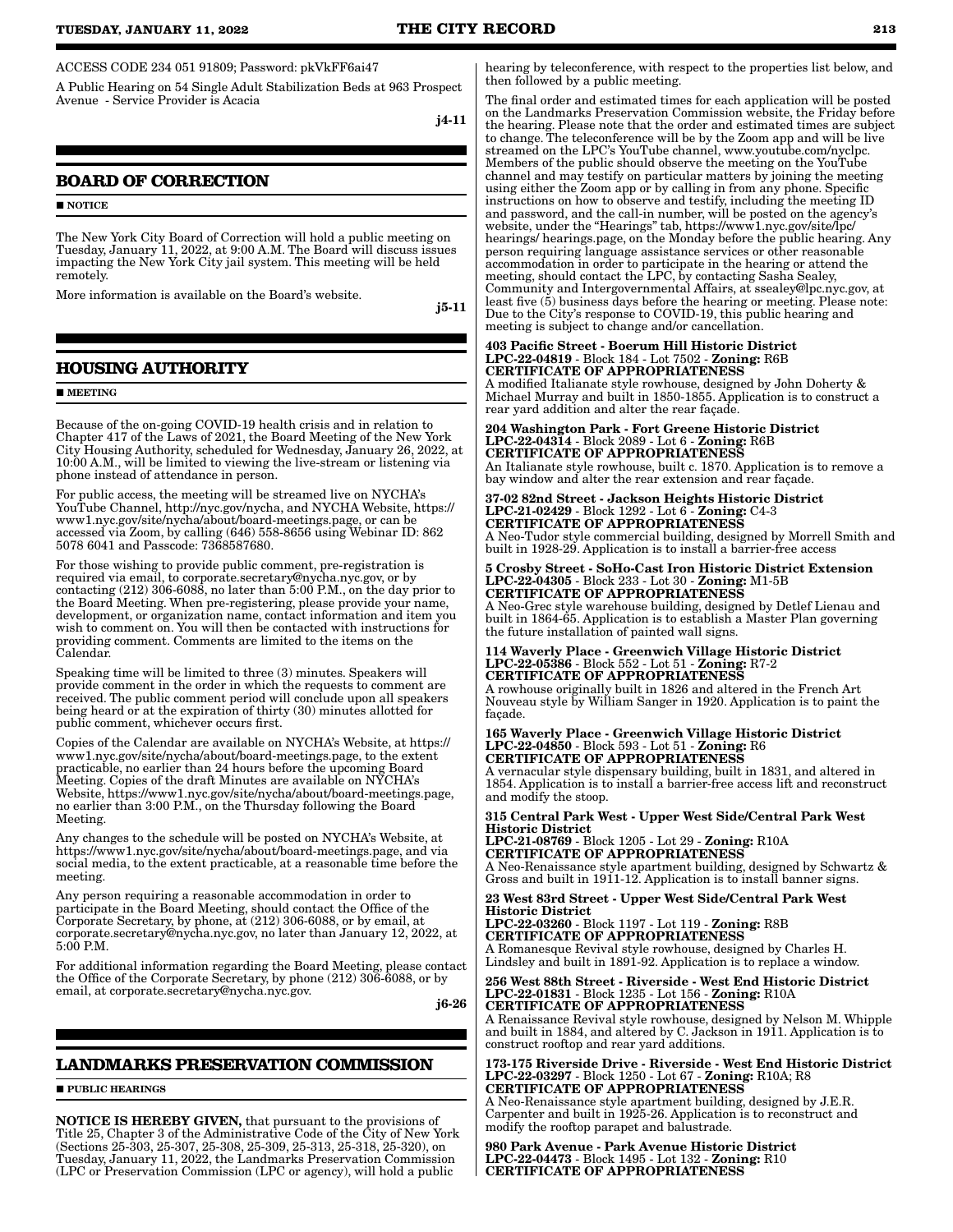ACCESS CODE 234 051 91809; Password: pkVkFF6ai47

A Public Hearing on 54 Single Adult Stabilization Beds at 963 Prospect Avenue - Service Provider is Acacia

j4-11

# **BOARD OF CORRECTION**

#### **NOTICE**

The New York City Board of Correction will hold a public meeting on Tuesday, January 11, 2022, at 9:00 A.M. The Board will discuss issues impacting the New York City jail system. This meeting will be held remotely.

More information is available on the Board's website.

j5-11

# **HOUSING AUTHORITY**

#### **MEETING**

Because of the on-going COVID-19 health crisis and in relation to Chapter 417 of the Laws of 2021, the Board Meeting of the New York City Housing Authority, scheduled for Wednesday, January 26, 2022, at 10:00 A.M., will be limited to viewing the live-stream or listening via phone instead of attendance in person.

For public access, the meeting will be streamed live on NYCHA's YouTube Channel, http://nyc.gov/nycha, and NYCHA Website, https:// www1.nyc.gov/site/nycha/about/board-meetings.page, or can be accessed via Zoom, by calling (646) 558-8656 using Webinar ID: 862 5078 6041 and Passcode: 7368587680.

For those wishing to provide public comment, pre-registration is required via email, to corporate.secretary@nycha.nyc.gov, or by contacting (212) 306-6088, no later than 5:00 P.M., on the day prior to the Board Meeting. When pre-registering, please provide your name, development, or organization name, contact information and item you wish to comment on. You will then be contacted with instructions for providing comment. Comments are limited to the items on the Calendar.

Speaking time will be limited to three (3) minutes. Speakers will provide comment in the order in which the requests to comment are received. The public comment period will conclude upon all speakers being heard or at the expiration of thirty (30) minutes allotted for public comment, whichever occurs first.

Copies of the Calendar are available on NYCHA's Website, at https:// www1.nyc.gov/site/nycha/about/board-meetings.page, to the extent practicable, no earlier than 24 hours before the upcoming Board Meeting. Copies of the draft Minutes are available on NYCHA's Website, https://www1.nyc.gov/site/nycha/about/board-meetings.page, no earlier than 3:00 P.M., on the Thursday following the Board Meeting.

Any changes to the schedule will be posted on NYCHA's Website, at https://www1.nyc.gov/site/nycha/about/board-meetings.page, and via social media, to the extent practicable, at a reasonable time before the meeting.

Any person requiring a reasonable accommodation in order to participate in the Board Meeting, should contact the Office of the Corporate Secretary, by phone, at (212) 306-6088, or by email, at corporate.secretary@nycha.nyc.gov, no later than January 12, 2022, at 5:00 P.M.

For additional information regarding the Board Meeting, please contact the Office of the Corporate Secretary, by phone (212) 306-6088, or by email, at corporate.secretary@nycha.nyc.gov.

j6-26

# **LANDMARKS PRESERVATION COMMISSION**

**PUBLIC HEARINGS** 

NOTICE IS HEREBY GIVEN, that pursuant to the provisions of Title 25, Chapter 3 of the Administrative Code of the City of New York (Sections 25-303, 25-307, 25-308, 25-309, 25-313, 25-318, 25-320), on Tuesday, January 11, 2022, the Landmarks Preservation Commission (LPC or Preservation Commission (LPC or agency), will hold a public

hearing by teleconference, with respect to the properties list below, and then followed by a public meeting.

The final order and estimated times for each application will be posted on the Landmarks Preservation Commission website, the Friday before the hearing. Please note that the order and estimated times are subject to change. The teleconference will be by the Zoom app and will be live streamed on the LPC's YouTube channel, www.youtube.com/nyclpc. Members of the public should observe the meeting on the YouTube channel and may testify on particular matters by joining the meeting using either the Zoom app or by calling in from any phone. Specific instructions on how to observe and testify, including the meeting ID and password, and the call-in number, will be posted on the agency's website, under the "Hearings" tab, https://www1.nyc.gov/site/lpc/ hearings/ hearings.page, on the Monday before the public hearing. Any person requiring language assistance services or other reasonable accommodation in order to participate in the hearing or attend the meeting, should contact the LPC, by contacting Sasha Sealey, Community and Intergovernmental Affairs, at ssealey@lpc.nyc.gov, at least five (5) business days before the hearing or meeting. Please note: Due to the City's response to COVID-19, this public hearing and meeting is subject to change and/or cancellation.

### 403 Pacific Street - Boerum Hill Historic District LPC-22-04819 - Block 184 - Lot 7502 - Zoning: R6B CERTIFICATE OF APPROPRIATENESS

A modified Italianate style rowhouse, designed by John Doherty & Michael Murray and built in 1850-1855. Application is to construct a rear yard addition and alter the rear façade.

#### 204 Washington Park - Fort Greene Historic District LPC-22-04314 - Block 2089 - Lot 6 - Zoning: R6B CERTIFICATE OF APPROPRIATENESS An Italianate style rowhouse, built c. 1870. Application is to remove a

bay window and alter the rear extension and rear façade.

37-02 82nd Street - Jackson Heights Historic District LPC-21-02429 - Block 1292 - Lot 6 - Zoning: C4-3 CERTIFICATE OF APPROPRIATENESS A Neo-Tudor style commercial building, designed by Morrell Smith and built in 1928-29. Application is to install a barrier-free access

5 Crosby Street - SoHo-Cast Iron Historic District Extension LPC-22-04305 - Block 233 - Lot 30 - Zoning: M1-5B CERTIFICATE OF APPROPRIATENESS

A Neo-Grec style warehouse building, designed by Detlef Lienau and built in 1864-65. Application is to establish a Master Plan governing the future installation of painted wall signs.

#### 114 Waverly Place - Greenwich Village Historic District LPC-22-05386 - Block 552 - Lot 51 - Zoning: R7-2 CERTIFICATE OF APPROPRIATENESS

A rowhouse originally built in 1826 and altered in the French Art Nouveau style by William Sanger in 1920. Application is to paint the façade.

#### 165 Waverly Place - Greenwich Village Historic District LPC-22-04850 - Block 593 - Lot 51 - Zoning: R6 CERTIFICATE OF APPROPRIATENESS

A vernacular style dispensary building, built in 1831, and altered in 1854. Application is to install a barrier-free access lift and reconstruct and modify the stoop.

### 315 Central Park West - Upper West Side/Central Park West Historic District

LPC-21-08769 - Block 1205 - Lot 29 - Zoning: R10A CERTIFICATE OF APPROPRIATENESS A Neo-Renaissance style apartment building, designed by Schwartz & Gross and built in 1911-12. Application is to install banner signs.

23 West 83rd Street - Upper West Side/Central Park West Historic District

LPC-22-03260 - Block 1197 - Lot 119 - Zoning: R8B CERTIFICATE OF APPROPRIATENESS A Romanesque Revival style rowhouse, designed by Charles H. Lindsley and built in 1891-92. Application is to replace a window.

256 West 88th Street - Riverside - West End Historic District LPC-22-01831 - Block 1235 - Lot 156 - Zoning: R10A CERTIFICATE OF APPROPRIATENESS

A Renaissance Revival style rowhouse, designed by Nelson M. Whipple and built in 1884, and altered by C. Jackson in 1911. Application is to construct rooftop and rear yard additions.

173-175 Riverside Drive - Riverside - West End Historic District LPC-22-03297 - Block 1250 - Lot 67 - Zoning: R10A; R8 CERTIFICATE OF APPROPRIATENESS

A Neo-Renaissance style apartment building, designed by J.E.R. Carpenter and built in 1925-26. Application is to reconstruct and modify the rooftop parapet and balustrade.

980 Park Avenue - Park Avenue Historic District LPC-22-04473 - Block 1495 - Lot 132 - Zoning: R10 CERTIFICATE OF APPROPRIATENESS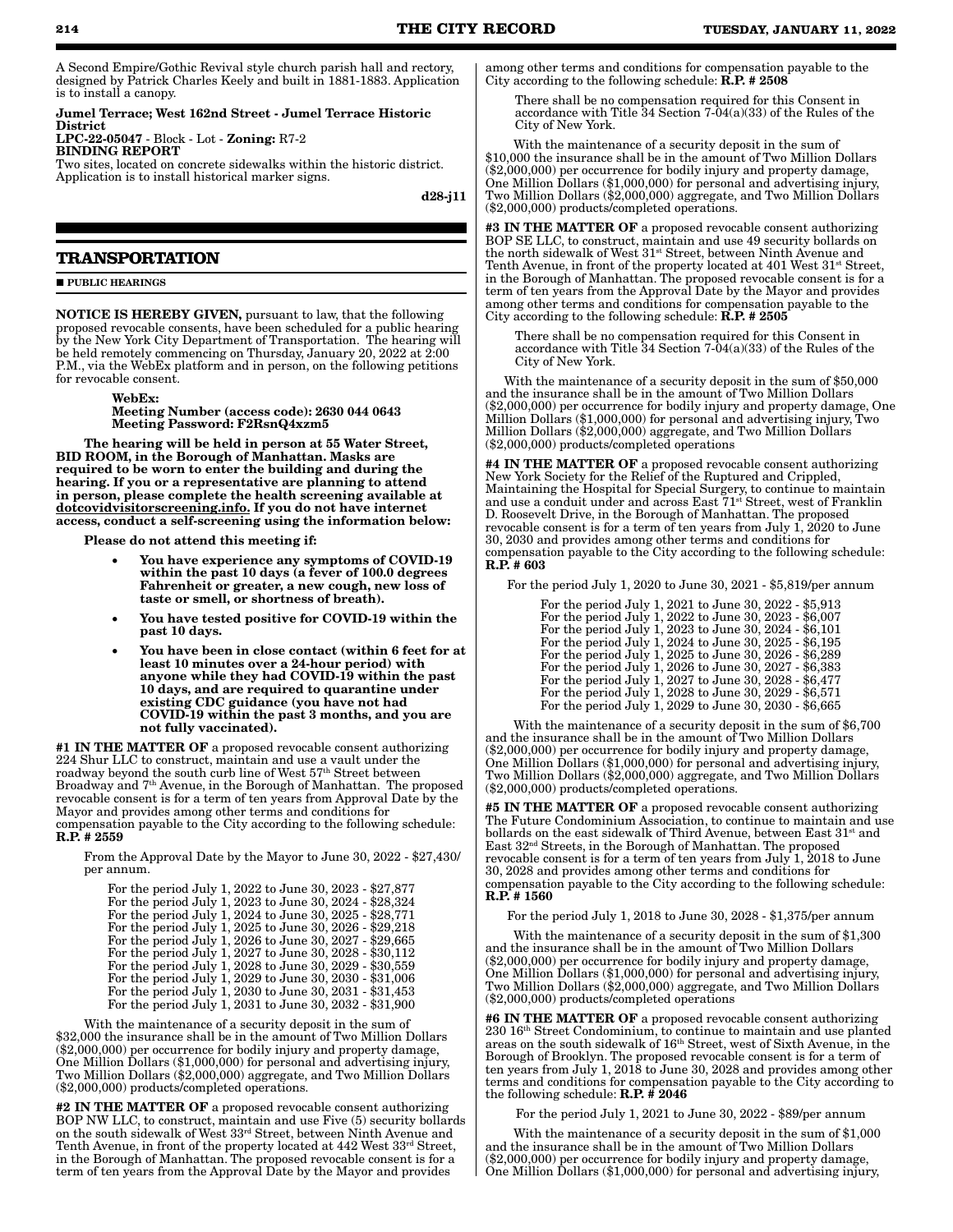A Second Empire/Gothic Revival style church parish hall and rectory, designed by Patrick Charles Keely and built in 1881-1883. Application is to install a canopy.

Jumel Terrace; West 162nd Street - Jumel Terrace Historic District LPC-22-05047 - Block - Lot - Zoning: R7-2 BINDING REPORT

Two sites, located on concrete sidewalks within the historic district. Application is to install historical marker signs.

d28-j11

# **TRANSPORTATION**

**PUBLIC HEARINGS** 

NOTICE IS HEREBY GIVEN, pursuant to law, that the following proposed revocable consents, have been scheduled for a public hearing by the New York City Department of Transportation. The hearing will be held remotely commencing on Thursday, January 20, 2022 at 2:00 P.M., via the WebEx platform and in person, on the following petitions for revocable consent.

> WebEx: Meeting Number (access code): 2630 044 0643 Meeting Password: F2RsnQ4xzm5

The hearing will be held in person at 55 Water Street, BID ROOM, in the Borough of Manhattan. Masks are required to be worn to enter the building and during the hearing. If you or a representative are planning to attend in person, please complete the health screening available at dotcovidvisitorscreening.info. If you do not have internet access, conduct a self-screening using the information below:

Please do not attend this meeting if:

- You have experience any symptoms of COVID-19 within the past 10 days (a fever of 100.0 degrees Fahrenheit or greater, a new cough, new loss of taste or smell, or shortness of breath).
- You have tested positive for COVID-19 within the past 10 days.
- You have been in close contact (within 6 feet for at least 10 minutes over a 24-hour period) with anyone while they had COVID-19 within the past 10 days, and are required to quarantine under existing CDC guidance (you have not had COVID-19 within the past 3 months, and you are not fully vaccinated).

#1 IN THE MATTER OF a proposed revocable consent authorizing 224 Shur LLC to construct, maintain and use a vault under the roadway beyond the south curb line of West 57<sup>th</sup> Street between Broadway and 7th Avenue, in the Borough of Manhattan. The proposed revocable consent is for a term of ten years from Approval Date by the Mayor and provides among other terms and conditions for compensation payable to the City according to the following schedule:  $R.P. + 2559$ 

From the Approval Date by the Mayor to June 30, 2022 - \$27,430/ per annum.

| For the period July 1, 2022 to June 30, 2023 - \$27,877 |  |  |  |
|---------------------------------------------------------|--|--|--|
| For the period July 1, 2023 to June 30, 2024 - \$28,324 |  |  |  |
| For the period July 1, 2024 to June 30, 2025 - \$28,771 |  |  |  |
| For the period July 1, 2025 to June 30, 2026 - \$29,218 |  |  |  |
| For the period July 1, 2026 to June 30, 2027 - \$29,665 |  |  |  |
| For the period July 1, 2027 to June 30, 2028 - \$30,112 |  |  |  |
| For the period July 1, 2028 to June 30, 2029 - \$30,559 |  |  |  |
| For the period July 1, 2029 to June 30, 2030 - \$31,006 |  |  |  |
| For the period July 1, 2030 to June 30, 2031 - \$31,453 |  |  |  |
| For the period July 1, 2031 to June 30, 2032 - \$31,900 |  |  |  |

With the maintenance of a security deposit in the sum of \$32,000 the insurance shall be in the amount of Two Million Dollars (\$2,000,000) per occurrence for bodily injury and property damage, One Million Dollars (\$1,000,000) for personal and advertising injury, Two Million Dollars (\$2,000,000) aggregate, and Two Million Dollars (\$2,000,000) products/completed operations.

#2 IN THE MATTER OF a proposed revocable consent authorizing BOP NW LLC, to construct, maintain and use Five (5) security bollards on the south sidewalk of West 33rd Street, between Ninth Avenue and Tenth Avenue, in front of the property located at 442 West  $33^{\text{rd}}$  Street, in the Borough of Manhattan. The proposed revocable consent is for a term of ten years from the Approval Date by the Mayor and provides

among other terms and conditions for compensation payable to the City according to the following schedule: R.P. # 2508

There shall be no compensation required for this Consent in accordance with Title 34 Section 7-04(a)(33) of the Rules of the City of New York.

With the maintenance of a security deposit in the sum of \$10,000 the insurance shall be in the amount of Two Million Dollars (\$2,000,000) per occurrence for bodily injury and property damage, One Million Dollars (\$1,000,000) for personal and advertising injury, Two Million Dollars (\$2,000,000) aggregate, and Two Million Dollars (\$2,000,000) products/completed operations.

#3 IN THE MATTER OF a proposed revocable consent authorizing BOP SE LLC, to construct, maintain and use 49 security bollards on the north sidewalk of West 31st Street, between Ninth Avenue and Tenth Avenue, in front of the property located at 401 West 31<sup>st</sup> Street, in the Borough of Manhattan. The proposed revocable consent is for a term of ten years from the Approval Date by the Mayor and provides among other terms and conditions for compensation payable to the City according to the following schedule:  $\hat{R}$ . P.  $\neq 2505$ 

There shall be no compensation required for this Consent in accordance with Title 34 Section 7-04(a)(33) of the Rules of the City of New York.

With the maintenance of a security deposit in the sum of \$50,000 and the insurance shall be in the amount of Two Million Dollars (\$2,000,000) per occurrence for bodily injury and property damage, One Million Dollars (\$1,000,000) for personal and advertising injury, Two Million Dollars (\$2,000,000) aggregate, and Two Million Dollars (\$2,000,000) products/completed operations

#4 IN THE MATTER OF a proposed revocable consent authorizing New York Society for the Relief of the Ruptured and Crippled, Maintaining the Hospital for Special Surgery, to continue to maintain and use a conduit under and across East  $71^{st}$  Street, west of Franklin D. Roosevelt Drive, in the Borough of Manhattan. The proposed revocable consent is for a term of ten years from July 1, 2020 to June 30, 2030 and provides among other terms and conditions for compensation payable to the City according to the following schedule: R.P. # 603

For the period July 1, 2020 to June 30, 2021 - \$5,819/per annum

| For the period July 1, 2021 to June 30, 2022 - \$5,913 |
|--------------------------------------------------------|
| For the period July 1, 2022 to June 30, 2023 - \$6,007 |
| For the period July 1, 2023 to June 30, 2024 - \$6,101 |
| For the period July 1, 2024 to June 30, 2025 - \$6,195 |
| For the period July 1, 2025 to June 30, 2026 - \$6,289 |
| For the period July 1, 2026 to June 30, 2027 - \$6,383 |
| For the period July 1, 2027 to June 30, 2028 - \$6,477 |
| For the period July 1, 2028 to June 30, 2029 - \$6,571 |
| For the period July 1, 2029 to June 30, 2030 - \$6,665 |

With the maintenance of a security deposit in the sum of \$6,700 and the insurance shall be in the amount of Two Million Dollars (\$2,000,000) per occurrence for bodily injury and property damage, One Million Dollars (\$1,000,000) for personal and advertising injury, Two Million Dollars (\$2,000,000) aggregate, and Two Million Dollars (\$2,000,000) products/completed operations.

#5 IN THE MATTER OF a proposed revocable consent authorizing The Future Condominium Association, to continue to maintain and use bollards on the east sidewalk of Third Avenue, between East 31<sup>st</sup> and East 32nd Streets, in the Borough of Manhattan. The proposed revocable consent is for a term of ten years from July 1,  $2018$  to June 30, 2028 and provides among other terms and conditions for compensation payable to the City according to the following schedule: R.P. # 1560

For the period July 1, 2018 to June 30, 2028 - \$1,375/per annum

With the maintenance of a security deposit in the sum of \$1,300 and the insurance shall be in the amount of Two Million Dollars (\$2,000,000) per occurrence for bodily injury and property damage, One Million Dollars (\$1,000,000) for personal and advertising injury, Two Million Dollars (\$2,000,000) aggregate, and Two Million Dollars (\$2,000,000) products/completed operations

#6 IN THE MATTER OF a proposed revocable consent authorizing 230 16th Street Condominium, to continue to maintain and use planted areas on the south sidewalk of 16th Street, west of Sixth Avenue, in the Borough of Brooklyn. The proposed revocable consent is for a term of ten years from July 1, 2018 to June 30, 2028 and provides among other terms and conditions for compensation payable to the City according to the following schedule:  $R.P. \# 2046$ 

For the period July 1, 2021 to June 30, 2022 - \$89/per annum

With the maintenance of a security deposit in the sum of \$1,000 and the insurance shall be in the amount of Two Million Dollars (\$2,000,000) per occurrence for bodily injury and property damage, One Million Dollars (\$1,000,000) for personal and advertising injury,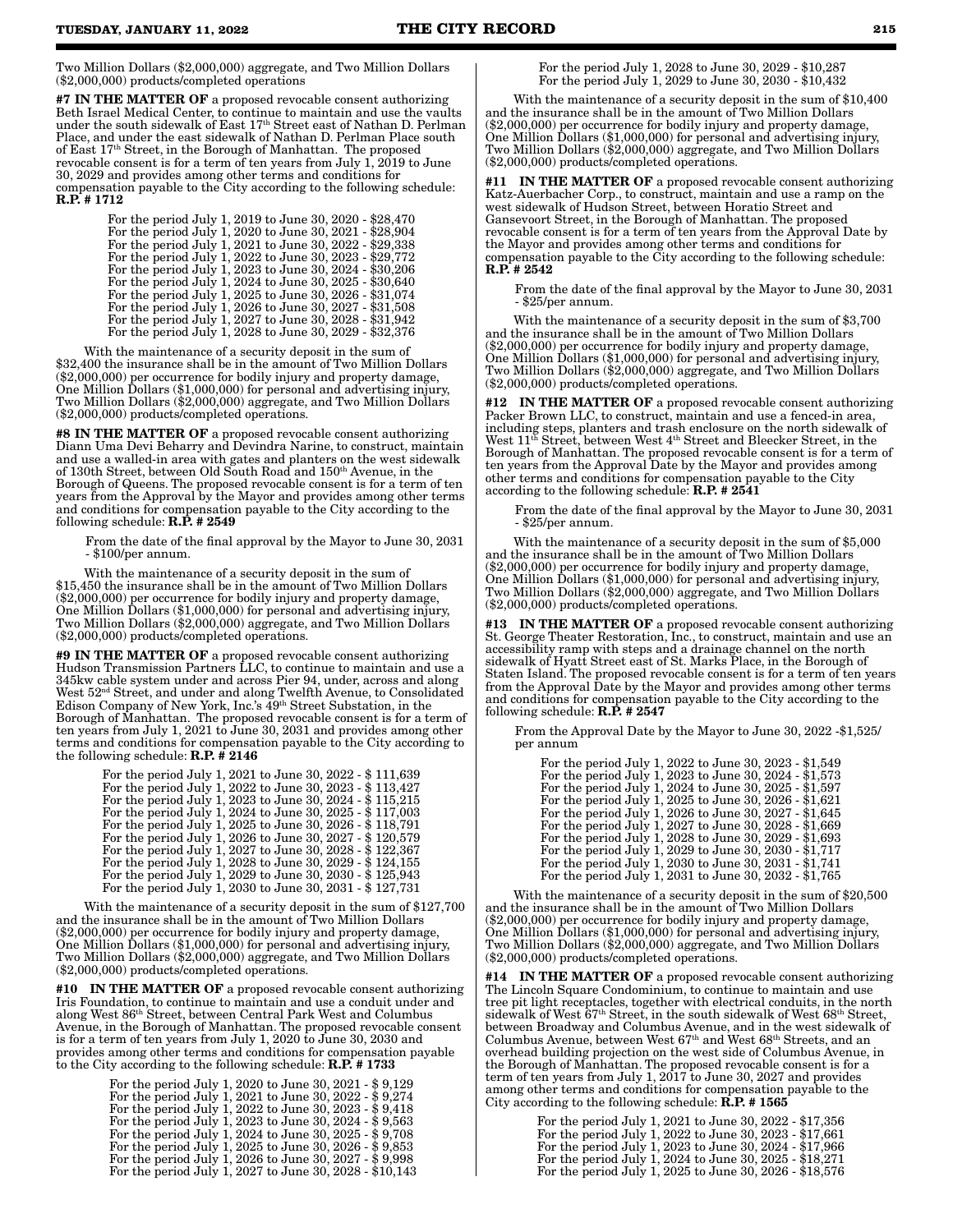Two Million Dollars (\$2,000,000) aggregate, and Two Million Dollars (\$2,000,000) products/completed operations

#7 IN THE MATTER OF a proposed revocable consent authorizing Beth Israel Medical Center, to continue to maintain and use the vaults under the south sidewalk of East 17th Street east of Nathan D. Perlman Place, and under the east sidewalk of Nathan D. Perlman Place south of East 17th Street, in the Borough of Manhattan. The proposed revocable consent is for a term of ten years from July 1, 2019 to June 30, 2029 and provides among other terms and conditions for compensation payable to the City according to the following schedule: R.P. # 1712

| For the period July 1, 2019 to June 30, 2020 - \$28,470                                                            |
|--------------------------------------------------------------------------------------------------------------------|
| For the period July 1, 2020 to June 30, 2021 - \$28,904                                                            |
| For the period July 1, 2021 to June 30, 2022 - \$29,338                                                            |
| For the period July 1, 2022 to June 30, 2023 - \$29,772<br>For the period July 1, 2023 to June 30, 2024 - \$30,206 |
| For the period July 1, 2024 to June 30, 2025 - \$30,640                                                            |
| For the period July 1, 2025 to June 30, 2026 - \$31,074                                                            |
| For the period July 1, 2026 to June 30, 2027 - \$31,508                                                            |
| For the period July 1, 2027 to June 30, 2028 - \$31,942                                                            |
| For the period July 1, 2028 to June 30, 2029 - \$32,376                                                            |

With the maintenance of a security deposit in the sum of \$32,400 the insurance shall be in the amount of Two Million Dollars (\$2,000,000) per occurrence for bodily injury and property damage, One Million Dollars (\$1,000,000) for personal and advertising injury, Two Million Dollars (\$2,000,000) aggregate, and Two Million Dollars (\$2,000,000) products/completed operations.

#8 IN THE MATTER OF a proposed revocable consent authorizing Diann Uma Devi Beharry and Devindra Narine, to construct, maintain and use a walled-in area with gates and planters on the west sidewalk of 130th Street, between Old South Road and 150th Avenue, in the Borough of Queens. The proposed revocable consent is for a term of ten years from the Approval by the Mayor and provides among other terms and conditions for compensation payable to the City according to the following schedule:  $R.\dot{P}$ . # 2549

From the date of the final approval by the Mayor to June 30, 2031 - \$100/per annum.

With the maintenance of a security deposit in the sum of \$15,450 the insurance shall be in the amount of Two Million Dollars (\$2,000,000) per occurrence for bodily injury and property damage, One Million Dollars (\$1,000,000) for personal and advertising injury, Two Million Dollars (\$2,000,000) aggregate, and Two Million Dollars (\$2,000,000) products/completed operations.

#9 IN THE MATTER OF a proposed revocable consent authorizing Hudson Transmission Partners LLC, to continue to maintain and use a 345kw cable system under and across Pier 94, under, across and along West 52nd Street, and under and along Twelfth Avenue, to Consolidated Edison Company of New York, Inc.'s 49th Street Substation, in the Borough of Manhattan. The proposed revocable consent is for a term of ten years from July 1, 2021 to June 30, 2031 and provides among other terms and conditions for compensation payable to the City according to the following schedule:  $\textbf{R.P.} \# \textbf{2146}$ 

> For the period July 1, 2021 to June 30, 2022 - \$ 111,639 For the period July 1, 2022 to June 30, 2023 - \$ 113,427 For the period July 1, 2023 to June 30, 2024 - \$ 115,215 For the period July 1, 2024 to June 30, 2025 - \$ 117,003 For the period July 1, 2025 to June 30, 2026 - \$ 118,791 For the period July 1, 2026 to June 30, 2027 - \$ 120,579 For the period July 1, 2027 to June 30, 2028 - \$ 122,367 For the period July 1, 2028 to June 30, 2029 - \$ 124,155 For the period July 1, 2029 to June 30, 2030 - \$ 125,943 For the period July 1, 2030 to June 30, 2031 - \$ 127,731

With the maintenance of a security deposit in the sum of \$127,700 and the insurance shall be in the amount of Two Million Dollars (\$2,000,000) per occurrence for bodily injury and property damage, One Million Dollars (\$1,000,000) for personal and advertising injury, Two Million Dollars (\$2,000,000) aggregate, and Two Million Dollars (\$2,000,000) products/completed operations.

#10 IN THE MATTER OF a proposed revocable consent authorizing Iris Foundation, to continue to maintain and use a conduit under and along West 86th Street, between Central Park West and Columbus Avenue, in the Borough of Manhattan. The proposed revocable consent is for a term of ten years from July 1, 2020 to June 30, 2030 and provides among other terms and conditions for compensation payable to the City according to the following schedule: **R.P.** # 1733

| For the period July 1, 2020 to June 30, 2021 - \$9,129  |
|---------------------------------------------------------|
| For the period July 1, 2021 to June 30, 2022 - \$9,274  |
| For the period July 1, 2022 to June 30, 2023 - \$9,418  |
| For the period July 1, 2023 to June 30, 2024 - \$9,563  |
| For the period July 1, 2024 to June 30, 2025 - \$9,708  |
| For the period July 1, 2025 to June 30, 2026 - \$9,853  |
| For the period July 1, 2026 to June 30, 2027 - \$9,998  |
| For the period July 1, 2027 to June 30, 2028 - \$10,143 |

 For the period July 1, 2028 to June 30, 2029 - \$10,287 For the period July 1, 2029 to June 30, 2030 - \$10,432

With the maintenance of a security deposit in the sum of \$10,400 and the insurance shall be in the amount of Two Million Dollars (\$2,000,000) per occurrence for bodily injury and property damage, One Million Dollars (\$1,000,000) for personal and advertising injury, Two Million Dollars (\$2,000,000) aggregate, and Two Million Dollars (\$2,000,000) products/completed operations.

#11 IN THE MATTER OF a proposed revocable consent authorizing Katz-Auerbacher Corp., to construct, maintain and use a ramp on the west sidewalk of Hudson Street, between Horatio Street and Gansevoort Street, in the Borough of Manhattan. The proposed revocable consent is for a term of ten years from the Approval Date by the Mayor and provides among other terms and conditions for compensation payable to the City according to the following schedule: R.P. # 2542

From the date of the final approval by the Mayor to June 30, 2031 - \$25/per annum.

With the maintenance of a security deposit in the sum of \$3,700 and the insurance shall be in the amount of Two Million Dollars (\$2,000,000) per occurrence for bodily injury and property damage, One Million Dollars (\$1,000,000) for personal and advertising injury, Two Million Dollars (\$2,000,000) aggregate, and Two Million Dollars (\$2,000,000) products/completed operations.

#12 IN THE MATTER OF a proposed revocable consent authorizing Packer Brown LLC, to construct, maintain and use a fenced-in area, including steps, planters and trash enclosure on the north sidewalk of West 11th Street, between West 4th Street and Bleecker Street, in the Borough of Manhattan. The proposed revocable consent is for a term of ten years from the Approval Date by the Mayor and provides among other terms and conditions for compensation payable to the City according to the following schedule: R.P. # 2541

From the date of the final approval by the Mayor to June 30, 2031 - \$25/per annum.

With the maintenance of a security deposit in the sum of \$5,000 and the insurance shall be in the amount of Two Million Dollars (\$2,000,000) per occurrence for bodily injury and property damage, One Million Dollars (\$1,000,000) for personal and advertising injury, Two Million Dollars (\$2,000,000) aggregate, and Two Million Dollars (\$2,000,000) products/completed operations.

#13 IN THE MATTER OF a proposed revocable consent authorizing St. George Theater Restoration, Inc., to construct, maintain and use an accessibility ramp with steps and a drainage channel on the north sidewalk of Hyatt Street east of St. Marks Place, in the Borough of Staten Island. The proposed revocable consent is for a term of ten years from the Approval Date by the Mayor and provides among other terms and conditions for compensation payable to the City according to the following schedule: R.P. # 2547

From the Approval Date by the Mayor to June 30, 2022 -\$1,525/ per annum

| For the period July 1, 2022 to June 30, 2023 - \$1,549 |  |
|--------------------------------------------------------|--|
| For the period July 1, 2023 to June 30, 2024 - \$1,573 |  |
| For the period July 1, 2024 to June 30, 2025 - \$1,597 |  |
| For the period July 1, 2025 to June 30, 2026 - \$1,621 |  |
| For the period July 1, 2026 to June 30, 2027 - \$1,645 |  |
| For the period July 1, 2027 to June 30, 2028 - \$1,669 |  |
| For the period July 1, 2028 to June 30, 2029 - \$1,693 |  |
| For the period July 1, 2029 to June 30, 2030 - \$1,717 |  |
| For the period July 1, 2030 to June 30, 2031 - \$1,741 |  |
| For the period July 1, 2031 to June 30, 2032 - \$1,765 |  |

With the maintenance of a security deposit in the sum of \$20,500 and the insurance shall be in the amount of Two Million Dollars (\$2,000,000) per occurrence for bodily injury and property damage, One Million Dollars (\$1,000,000) for personal and advertising injury, Two Million Dollars (\$2,000,000) aggregate, and Two Million Dollars (\$2,000,000) products/completed operations.

#14 IN THE MATTER OF a proposed revocable consent authorizing The Lincoln Square Condominium, to continue to maintain and use tree pit light receptacles, together with electrical conduits, in the north sidewalk of West 67<sup>th</sup> Street, in the south sidewalk of West 68<sup>th</sup> Street. between Broadway and Columbus Avenue, and in the west sidewalk of Columbus Avenue, between West 67th and West 68th Streets, and an overhead building projection on the west side of Columbus Avenue, in the Borough of Manhattan. The proposed revocable consent is for a term of ten years from July 1, 2017 to June 30, 2027 and provides among other terms and conditions for compensation payable to the City according to the following schedule: R.P. # 1565

| For the period July 1, 2021 to June 30, 2022 - \$17,356 |  |
|---------------------------------------------------------|--|
| For the period July 1, 2022 to June 30, 2023 - \$17,661 |  |
| For the period July 1, 2023 to June 30, 2024 - \$17,966 |  |
| For the period July 1, 2024 to June 30, 2025 - \$18,271 |  |
| For the period July 1, 2025 to June 30, 2026 - \$18,576 |  |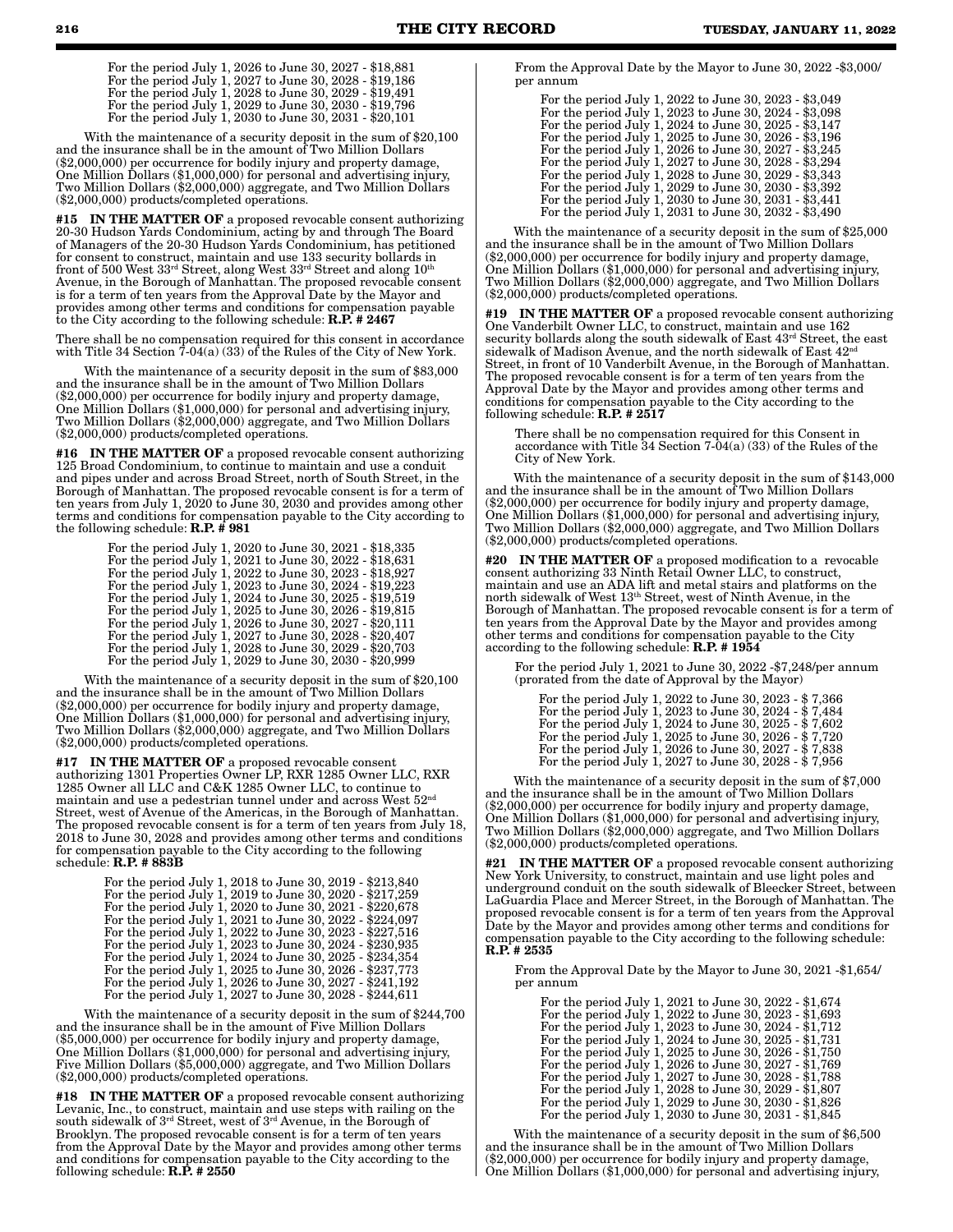With the maintenance of a security deposit in the sum of \$20,100 and the insurance shall be in the amount of Two Million Dollars (\$2,000,000) per occurrence for bodily injury and property damage, One Million Dollars (\$1,000,000) for personal and advertising injury, Two Million Dollars (\$2,000,000) aggregate, and Two Million Dollars (\$2,000,000) products/completed operations.

#15 IN THE MATTER OF a proposed revocable consent authorizing 20-30 Hudson Yards Condominium, acting by and through The Board of Managers of the 20-30 Hudson Yards Condominium, has petitioned for consent to construct, maintain and use 133 security bollards in front of 500 West 33rd Street, along West 33rd Street and along 10th Avenue, in the Borough of Manhattan. The proposed revocable consent is for a term of ten years from the Approval Date by the Mayor and provides among other terms and conditions for compensation payable to the City according to the following schedule: R.P. # 2467

There shall be no compensation required for this consent in accordance with Title 34 Section 7-04(a) (33) of the Rules of the City of New York.

With the maintenance of a security deposit in the sum of \$83,000 and the insurance shall be in the amount of Two Million Dollars (\$2,000,000) per occurrence for bodily injury and property damage, One Million Dollars (\$1,000,000) for personal and advertising injury, Two Million Dollars (\$2,000,000) aggregate, and Two Million Dollars (\$2,000,000) products/completed operations.

#16 IN THE MATTER OF a proposed revocable consent authorizing 125 Broad Condominium, to continue to maintain and use a conduit and pipes under and across Broad Street, north of South Street, in the Borough of Manhattan. The proposed revocable consent is for a term of ten years from July 1, 2020 to June 30, 2030 and provides among other terms and conditions for compensation payable to the City according to the following schedule:  $R.P.$   $\# 981$ 

| For the period July 1, 2020 to June 30, 2021 - \$18,335 |  |
|---------------------------------------------------------|--|
| For the period July 1, 2021 to June 30, 2022 - \$18,631 |  |
| For the period July 1, 2022 to June 30, 2023 - \$18,927 |  |
| For the period July 1, 2023 to June 30, 2024 - \$19,223 |  |
| For the period July 1, 2024 to June 30, 2025 - \$19,519 |  |
| For the period July 1, 2025 to June 30, 2026 - \$19,815 |  |
| For the period July 1, 2026 to June 30, 2027 - \$20,111 |  |
| For the period July 1, 2027 to June 30, 2028 - \$20,407 |  |
| For the period July 1, 2028 to June 30, 2029 - \$20,703 |  |
| For the period July 1, 2029 to June 30, 2030 - \$20,999 |  |
|                                                         |  |

With the maintenance of a security deposit in the sum of \$20,100 and the insurance shall be in the amount of Two Million Dollars (\$2,000,000) per occurrence for bodily injury and property damage, One Million Dollars (\$1,000,000) for personal and advertising injury, Two Million Dollars (\$2,000,000) aggregate, and Two Million Dollars (\$2,000,000) products/completed operations.

#17 IN THE MATTER OF a proposed revocable consent authorizing 1301 Properties Owner LP, RXR 1285 Owner LLC, RXR 1285 Owner all LLC and C&K 1285 Owner LLC, to continue to maintain and use a pedestrian tunnel under and across West  $52^{\text{nd}}$ Street, west of Avenue of the Americas, in the Borough of Manhattan. The proposed revocable consent is for a term of ten years from July 18, 2018 to June 30, 2028 and provides among other terms and conditions for compensation payable to the City according to the following schedule: R.P. # 883B

| For the period July 1, 2018 to June 30, 2019 - \$213,840 |
|----------------------------------------------------------|
| For the period July 1, 2019 to June 30, 2020 - \$217,259 |
| For the period July 1, 2020 to June 30, 2021 - \$220,678 |
| For the period July 1, 2021 to June 30, 2022 - \$224,097 |
| For the period July 1, 2022 to June 30, 2023 - \$227,516 |
| For the period July 1, 2023 to June 30, 2024 - \$230,935 |
| For the period July 1, 2024 to June 30, 2025 - \$234,354 |
| For the period July 1, 2025 to June 30, 2026 - \$237,773 |
| For the period July 1, 2026 to June 30, 2027 - \$241,192 |
| For the period July 1, 2027 to June 30, 2028 - \$244,611 |
|                                                          |

With the maintenance of a security deposit in the sum of \$244,700 and the insurance shall be in the amount of Five Million Dollars (\$5,000,000) per occurrence for bodily injury and property damage, One Million Dollars (\$1,000,000) for personal and advertising injury, Five Million Dollars (\$5,000,000) aggregate, and Two Million Dollars (\$2,000,000) products/completed operations.

#18 IN THE MATTER OF a proposed revocable consent authorizing Levanic, Inc., to construct, maintain and use steps with railing on the south sidewalk of 3rd Street, west of 3rd Avenue, in the Borough of Brooklyn. The proposed revocable consent is for a term of ten years from the Approval Date by the Mayor and provides among other terms and conditions for compensation payable to the City according to the following schedule:  $\mathbf{R}.\bar{\mathbf{P}}$ . # 2550

From the Approval Date by the Mayor to June 30, 2022 -\$3,000/ per annum

For the period July 1, 2022 to June 30, 2023 - \$3,049 For the period July 1, 2023 to June 30, 2024 - \$3,098 For the period July 1, 2024 to June 30, 2025 - \$3,147 For the period July 1, 2025 to June 30, 2026 - \$3,196 For the period July 1, 2026 to June 30, 2027 - \$3,245 For the period July 1, 2027 to June 30, 2028 - \$3,294 For the period July 1, 2028 to June 30, 2029 - \$3,343 For the period July 1, 2029 to June 30, 2030 - \$3,392 For the period July 1, 2030 to June 30, 2031 - \$3,441 For the period July 1, 2031 to June 30, 2032 - \$3,490

With the maintenance of a security deposit in the sum of \$25,000 and the insurance shall be in the amount of Two Million Dollars (\$2,000,000) per occurrence for bodily injury and property damage, One Million Dollars (\$1,000,000) for personal and advertising injury, Two Million Dollars (\$2,000,000) aggregate, and Two Million Dollars (\$2,000,000) products/completed operations.

#19 IN THE MATTER OF a proposed revocable consent authorizing One Vanderbilt Owner LLC, to construct, maintain and use 162 security bollards along the south sidewalk of East 43rd Street, the east sidewalk of Madison Avenue, and the north sidewalk of East  $42<sup>n</sup>$ Street, in front of 10 Vanderbilt Avenue, in the Borough of Manhattan. The proposed revocable consent is for a term of ten years from the Approval Date by the Mayor and provides among other terms and conditions for compensation payable to the City according to the following schedule:  $R.P. # 2517$ 

There shall be no compensation required for this Consent in accordance with Title 34 Section 7-04(a) (33) of the Rules of the City of New York.

With the maintenance of a security deposit in the sum of \$143,000 and the insurance shall be in the amount of Two Million Dollars (\$2,000,000) per occurrence for bodily injury and property damage, One Million Dollars (\$1,000,000) for personal and advertising injury, Two Million Dollars (\$2,000,000) aggregate, and Two Million Dollars (\$2,000,000) products/completed operations.

#20 IN THE MATTER OF a proposed modification to a revocable consent authorizing 33 Ninth Retail Owner LLC, to construct, maintain and use an ADA lift and metal stairs and platforms on the north sidewalk of West 13th Street, west of Ninth Avenue, in the Borough of Manhattan. The proposed revocable consent is for a term of ten years from the Approval Date by the Mayor and provides among other terms and conditions for compensation payable to the City according to the following schedule: R.P. # 1954

For the period July 1, 2021 to June 30, 2022 -\$7,248/per annum (prorated from the date of Approval by the Mayor)

| For the period July 1, 2022 to June 30, 2023 - \$7,366  |  |
|---------------------------------------------------------|--|
| For the period July 1, 2023 to June 30, 2024 - \$7,484  |  |
| For the period July 1, 2024 to June 30, 2025 - \$ 7,602 |  |
| For the period July 1, 2025 to June 30, 2026 - \$7,720  |  |
| For the period July 1, 2026 to June 30, 2027 - \$7,838  |  |
| For the period July 1, 2027 to June 30, 2028 - \$7,956  |  |

With the maintenance of a security deposit in the sum of \$7,000 and the insurance shall be in the amount of Two Million Dollars (\$2,000,000) per occurrence for bodily injury and property damage, One Million Dollars (\$1,000,000) for personal and advertising injury, Two Million Dollars (\$2,000,000) aggregate, and Two Million Dollars (\$2,000,000) products/completed operations.

#21 IN THE MATTER OF a proposed revocable consent authorizing New York University, to construct, maintain and use light poles and underground conduit on the south sidewalk of Bleecker Street, between LaGuardia Place and Mercer Street, in the Borough of Manhattan. The proposed revocable consent is for a term of ten years from the Approval Date by the Mayor and provides among other terms and conditions for compensation payable to the City according to the following schedule: R.P. # 2535

From the Approval Date by the Mayor to June 30, 2021 -\$1,654/ per annum

For the period July 1, 2021 to June 30, 2022 - \$1,674 For the period July 1, 2022 to June 30, 2023 - \$1,693 For the period July 1, 2023 to June 30, 2024 - \$1,712 For the period July 1, 2024 to June 30, 2025 - \$1,731 For the period July 1, 2025 to June 30, 2026 - \$1,750 For the period July 1, 2026 to June 30, 2027 - \$1,769 For the period July 1, 2027 to June 30, 2028 - \$1,788 For the period July 1, 2028 to June 30, 2029 - \$1,807 For the period July 1, 2029 to June 30, 2030 - \$1,826 For the period July 1, 2030 to June 30, 2031 - \$1,845

With the maintenance of a security deposit in the sum of \$6,500 and the insurance shall be in the amount of Two Million Dollars (\$2,000,000) per occurrence for bodily injury and property damage, One Million Dollars (\$1,000,000) for personal and advertising injury,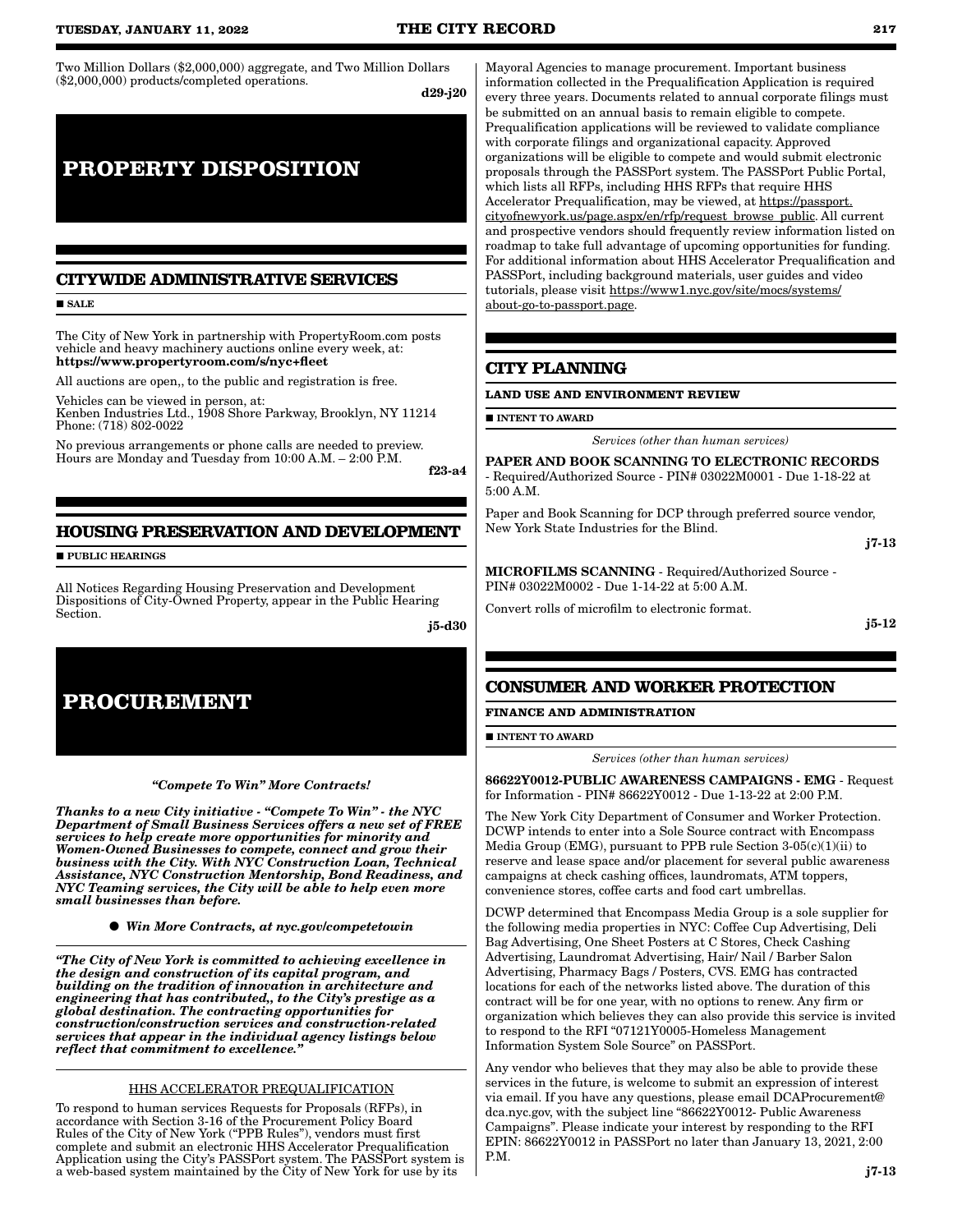Two Million Dollars (\$2,000,000) aggregate, and Two Million Dollars (\$2,000,000) products/completed operations.

d29-j20

# **PROPERTY DISPOSITION**

# **CITYWIDE ADMINISTRATIVE SERVICES**

**SALE** 

The City of New York in partnership with PropertyRoom.com posts vehicle and heavy machinery auctions online every week, at: https://www.propertyroom.com/s/nyc+fleet

All auctions are open,, to the public and registration is free.

Vehicles can be viewed in person, at:

Kenben Industries Ltd., 1908 Shore Parkway, Brooklyn, NY 11214 Phone: (718) 802-0022

No previous arrangements or phone calls are needed to preview. Hours are Monday and Tuesday from 10:00 A.M. – 2:00 P.M.

f23-a4

# **HOUSING PRESERVATION AND DEVELOPMENT**

**PUBLIC HEARINGS** 

All Notices Regarding Housing Preservation and Development Dispositions of City-Owned Property, appear in the Public Hearing Section.

j5-d30



*"Compete To Win" More Contracts!* 

*Thanks to a new City initiative - "Compete To Win" - the NYC Department of Small Business Services offers a new set of FREE services to help create more opportunities for minority and Women-Owned Businesses to compete, connect and grow their business with the City. With NYC Construction Loan, Technical Assistance, NYC Construction Mentorship, Bond Readiness, and NYC Teaming services, the City will be able to help even more small businesses than before.*

*Win More Contracts, at nyc.gov/competetowin*

*"The City of New York is committed to achieving excellence in the design and construction of its capital program, and building on the tradition of innovation in architecture and engineering that has contributed,, to the City's prestige as a global destination. The contracting opportunities for construction/construction services and construction-related services that appear in the individual agency listings below reflect that commitment to excellence."*

# HHS ACCELERATOR PREQUALIFICATION

To respond to human services Requests for Proposals (RFPs), in accordance with Section 3-16 of the Procurement Policy Board Rules of the City of New York ("PPB Rules"), vendors must first complete and submit an electronic HHS Accelerator Prequalification Application using the City's PASSPort system. The PASSPort system is a web-based system maintained by the City of New York for use by its

Mayoral Agencies to manage procurement. Important business information collected in the Prequalification Application is required every three years. Documents related to annual corporate filings must be submitted on an annual basis to remain eligible to compete. Prequalification applications will be reviewed to validate compliance with corporate filings and organizational capacity. Approved organizations will be eligible to compete and would submit electronic proposals through the PASSPort system. The PASSPort Public Portal, which lists all RFPs, including HHS RFPs that require HHS Accelerator Prequalification, may be viewed, at https://passport. cityofnewyork.us/page.aspx/en/rfp/request\_browse\_public. All current and prospective vendors should frequently review information listed on roadmap to take full advantage of upcoming opportunities for funding. For additional information about HHS Accelerator Prequalification and PASSPort, including background materials, user guides and video tutorials, please visit https://www1.nyc.gov/site/mocs/systems/ about-go-to-passport.page.

# **CITY PLANNING**

#### **LAND USE AND ENVIRONMENT REVIEW**

**INTENT TO AWARD** 

*Services (other than human services)*

PAPER AND BOOK SCANNING TO ELECTRONIC RECORDS - Required/Authorized Source - PIN# 03022M0001 - Due 1-18-22 at 5:00 A.M.

Paper and Book Scanning for DCP through preferred source vendor, New York State Industries for the Blind.

j7-13

MICROFILMS SCANNING - Required/Authorized Source - PIN# 03022M0002 - Due 1-14-22 at 5:00 A.M.

Convert rolls of microfilm to electronic format.

j5-12

# **CONSUMER AND WORKER PROTECTION**

**FINANCE AND ADMINISTRATION**

**INTENT TO AWARD** 

*Services (other than human services)*

86622Y0012-PUBLIC AWARENESS CAMPAIGNS - EMG - Request for Information - PIN# 86622Y0012 - Due 1-13-22 at 2:00 P.M.

The New York City Department of Consumer and Worker Protection. DCWP intends to enter into a Sole Source contract with Encompass Media Group (EMG), pursuant to PPB rule Section 3-05(c)(1)(ii) to reserve and lease space and/or placement for several public awareness campaigns at check cashing offices, laundromats, ATM toppers, convenience stores, coffee carts and food cart umbrellas.

DCWP determined that Encompass Media Group is a sole supplier for the following media properties in NYC: Coffee Cup Advertising, Deli Bag Advertising, One Sheet Posters at C Stores, Check Cashing Advertising, Laundromat Advertising, Hair/ Nail / Barber Salon Advertising, Pharmacy Bags / Posters, CVS. EMG has contracted locations for each of the networks listed above. The duration of this contract will be for one year, with no options to renew. Any firm or organization which believes they can also provide this service is invited to respond to the RFI "07121Y0005-Homeless Management Information System Sole Source" on PASSPort.

Any vendor who believes that they may also be able to provide these services in the future, is welcome to submit an expression of interest via email. If you have any questions, please email DCAProcurement@ dca.nyc.gov, with the subject line "86622Y0012- Public Awareness Campaigns". Please indicate your interest by responding to the RFI EPIN: 86622Y0012 in PASSPort no later than January 13, 2021, 2:00 P.M.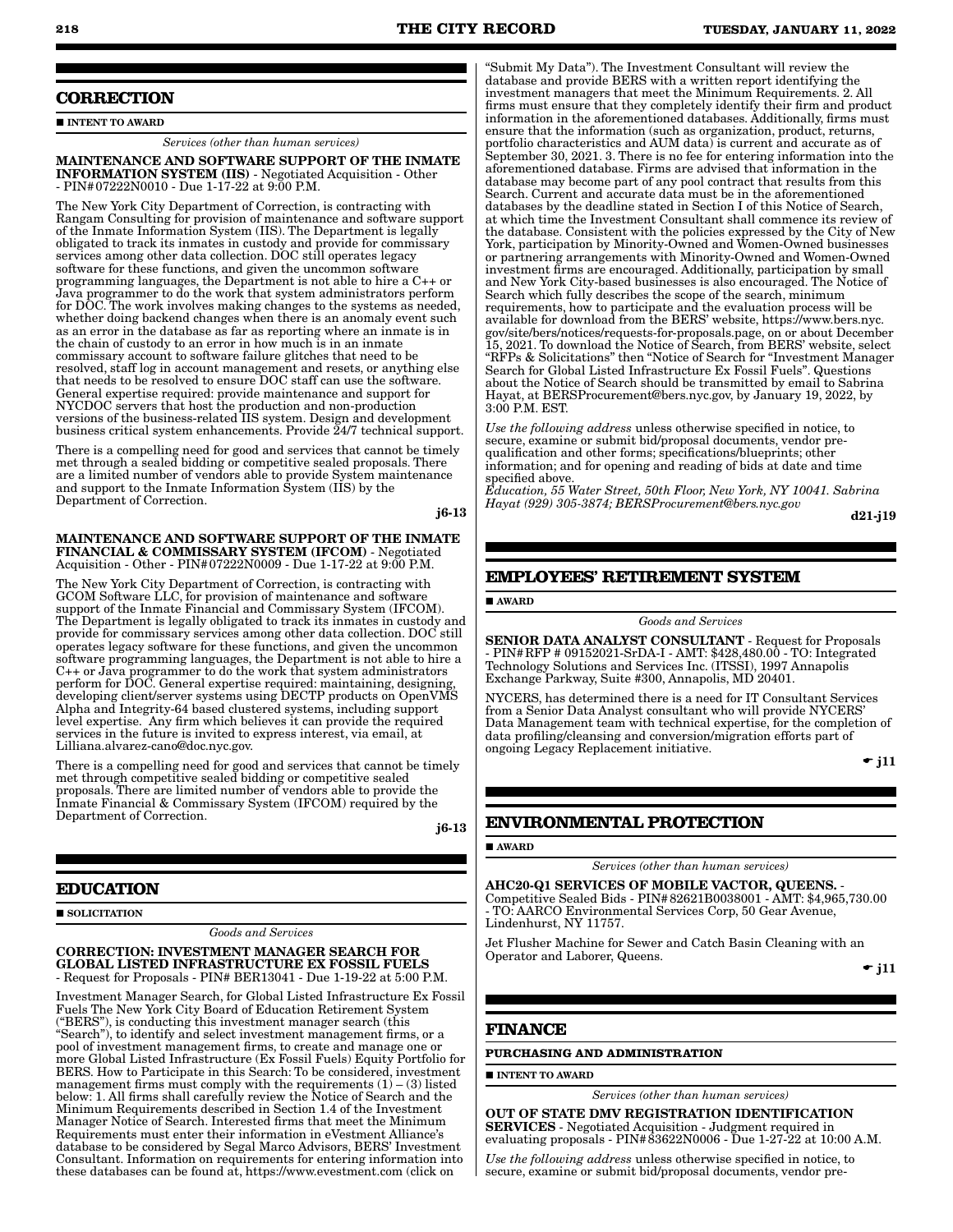# **CORRECTION**

### **INTENT TO AWARD**

*Services (other than human services)*

MAINTENANCE AND SOFTWARE SUPPORT OF THE INMATE INFORMATION SYSTEM (IIS) - Negotiated Acquisition - Other - PIN#07222N0010 - Due 1-17-22 at 9:00 P.M.

The New York City Department of Correction, is contracting with Rangam Consulting for provision of maintenance and software support of the Inmate Information System (IIS). The Department is legally obligated to track its inmates in custody and provide for commissary services among other data collection. DOC still operates legacy software for these functions, and given the uncommon software programming languages, the Department is not able to hire a C++ or Java programmer to do the work that system administrators perform for DOC. The work involves making changes to the systems as needed, whether doing backend changes when there is an anomaly event such as an error in the database as far as reporting where an inmate is in the chain of custody to an error in how much is in an inmate commissary account to software failure glitches that need to be resolved, staff log in account management and resets, or anything else that needs to be resolved to ensure DOC staff can use the software. General expertise required: provide maintenance and support for NYCDOC servers that host the production and non-production versions of the business-related IIS system. Design and development business critical system enhancements. Provide  $\tilde{24}/7$  technical support.

There is a compelling need for good and services that cannot be timely met through a sealed bidding or competitive sealed proposals. There are a limited number of vendors able to provide System maintenance and support to the Inmate Information System (IIS) by the Department of Correction.

j6-13

MAINTENANCE AND SOFTWARE SUPPORT OF THE INMATE FINANCIAL & COMMISSARY SYSTEM (IFCOM) - Negotiated Acquisition - Other - PIN#07222N0009 - Due 1-17-22 at 9:00 P.M.

The New York City Department of Correction, is contracting with GCOM Software LLC, for provision of maintenance and software support of the Inmate Financial and Commissary System (IFCOM). The Department is legally obligated to track its inmates in custody and provide for commissary services among other data collection. DOC still operates legacy software for these functions, and given the uncommon software programming languages, the Department is not able to hire a C++ or Java programmer to do the work that system administrators perform for DOC. General expertise required: maintaining, designing, developing client/server systems using DECTP products on OpenVMS Alpha and Integrity-64 based clustered systems, including support level expertise. Any firm which believes it can provide the required services in the future is invited to express interest, via email, at Lilliana.alvarez-cano@doc.nyc.gov.

There is a compelling need for good and services that cannot be timely met through competitive sealed bidding or competitive sealed proposals. There are limited number of vendors able to provide the Inmate Financial & Commissary System (IFCOM) required by the Department of Correction.

j6-13

# **EDUCATION**

SOLICITATION

*Goods and Services*

CORRECTION: INVESTMENT MANAGER SEARCH FOR GLOBAL LISTED INFRASTRUCTURE EX FOSSIL FUELS - Request for Proposals - PIN# BER13041 - Due 1-19-22 at 5:00 P.M.

Investment Manager Search, for Global Listed Infrastructure Ex Fossil Fuels The New York City Board of Education Retirement System ("BERS"), is conducting this investment manager search (this "Search"), to identify and select investment management firms, or a pool of investment management firms, to create and manage one or more Global Listed Infrastructure (Ex Fossil Fuels) Equity Portfolio for BERS. How to Participate in this Search: To be considered, investment management firms must comply with the requirements  $(1) - (3)$  listed below: 1. All firms shall carefully review the Notice of Search and the Minimum Requirements described in Section 1.4 of the Investment Manager Notice of Search. Interested firms that meet the Minimum Requirements must enter their information in eVestment Alliance's database to be considered by Segal Marco Advisors, BERS' Investment Consultant. Information on requirements for entering information into these databases can be found at, https://www.evestment.com (click on

"Submit My Data"). The Investment Consultant will review the database and provide BERS with a written report identifying the investment managers that meet the Minimum Requirements. 2. All firms must ensure that they completely identify their firm and product information in the aforementioned databases. Additionally, firms must ensure that the information (such as organization, product, returns, portfolio characteristics and AUM data) is current and accurate as of September 30, 2021. 3. There is no fee for entering information into the aforementioned database. Firms are advised that information in the database may become part of any pool contract that results from this Search. Current and accurate data must be in the aforementioned databases by the deadline stated in Section I of this Notice of Search, at which time the Investment Consultant shall commence its review of the database. Consistent with the policies expressed by the City of New York, participation by Minority-Owned and Women-Owned businesses or partnering arrangements with Minority-Owned and Women-Owned investment firms are encouraged. Additionally, participation by small and New York City-based businesses is also encouraged. The Notice of Search which fully describes the scope of the search, minimum requirements, how to participate and the evaluation process will be available for download from the BERS' website, https://www.bers.nyc. gov/site/bers/notices/requests-for-proposals.page, on or about December 15, 2021. To download the Notice of Search, from BERS' website, select "RFPs & Solicitations" then "Notice of Search for "Investment Manager Search for Global Listed Infrastructure Ex Fossil Fuels". Questions about the Notice of Search should be transmitted by email to Sabrina Hayat, at BERSProcurement@bers.nyc.gov, by January 19, 2022, by 3:00 P.M. EST.

*Use the following address* unless otherwise specified in notice, to secure, examine or submit bid/proposal documents, vendor prequalification and other forms; specifications/blueprints; other information; and for opening and reading of bids at date and time specified above.

*Education, 55 Water Street, 50th Floor, New York, NY 10041. Sabrina Hayat (929) 305-3874; BERSProcurement@bers.nyc.gov*

d21-j19

# **EMPLOYEES' RETIREMENT SYSTEM**

AWARD

*Goods and Services*

SENIOR DATA ANALYST CONSULTANT - Request for Proposals - PIN#RFP # 09152021-SrDA-I - AMT: \$428,480.00 - TO: Integrated Technology Solutions and Services Inc. (ITSSI), 1997 Annapolis Exchange Parkway, Suite #300, Annapolis, MD 20401.

NYCERS, has determined there is a need for IT Consultant Services from a Senior Data Analyst consultant who will provide NYCERS' Data Management team with technical expertise, for the completion of data profiling/cleansing and conversion/migration efforts part of ongoing Legacy Replacement initiative.

 $\overline{\phantom{a}}$  i11

# **ENVIRONMENTAL PROTECTION**

# AWARD

*Services (other than human services)*

AHC20-Q1 SERVICES OF MOBILE VACTOR, QUEENS. - Competitive Sealed Bids - PIN#82621B0038001 - AMT: \$4,965,730.00 - TO: AARCO Environmental Services Corp, 50 Gear Avenue, Lindenhurst, NY 11757.

Jet Flusher Machine for Sewer and Catch Basin Cleaning with an Operator and Laborer, Queens.

 $\overline{\phantom{a}}$  i11

# **FINANCE**

**INTENT TO AWARD** 

# **PURCHASING AND ADMINISTRATION**

*Services (other than human services)*

OUT OF STATE DMV REGISTRATION IDENTIFICATION SERVICES - Negotiated Acquisition - Judgment required in evaluating proposals - PIN#83622N0006 - Due 1-27-22 at 10:00 A.M.

*Use the following address* unless otherwise specified in notice, to secure, examine or submit bid/proposal documents, vendor pre-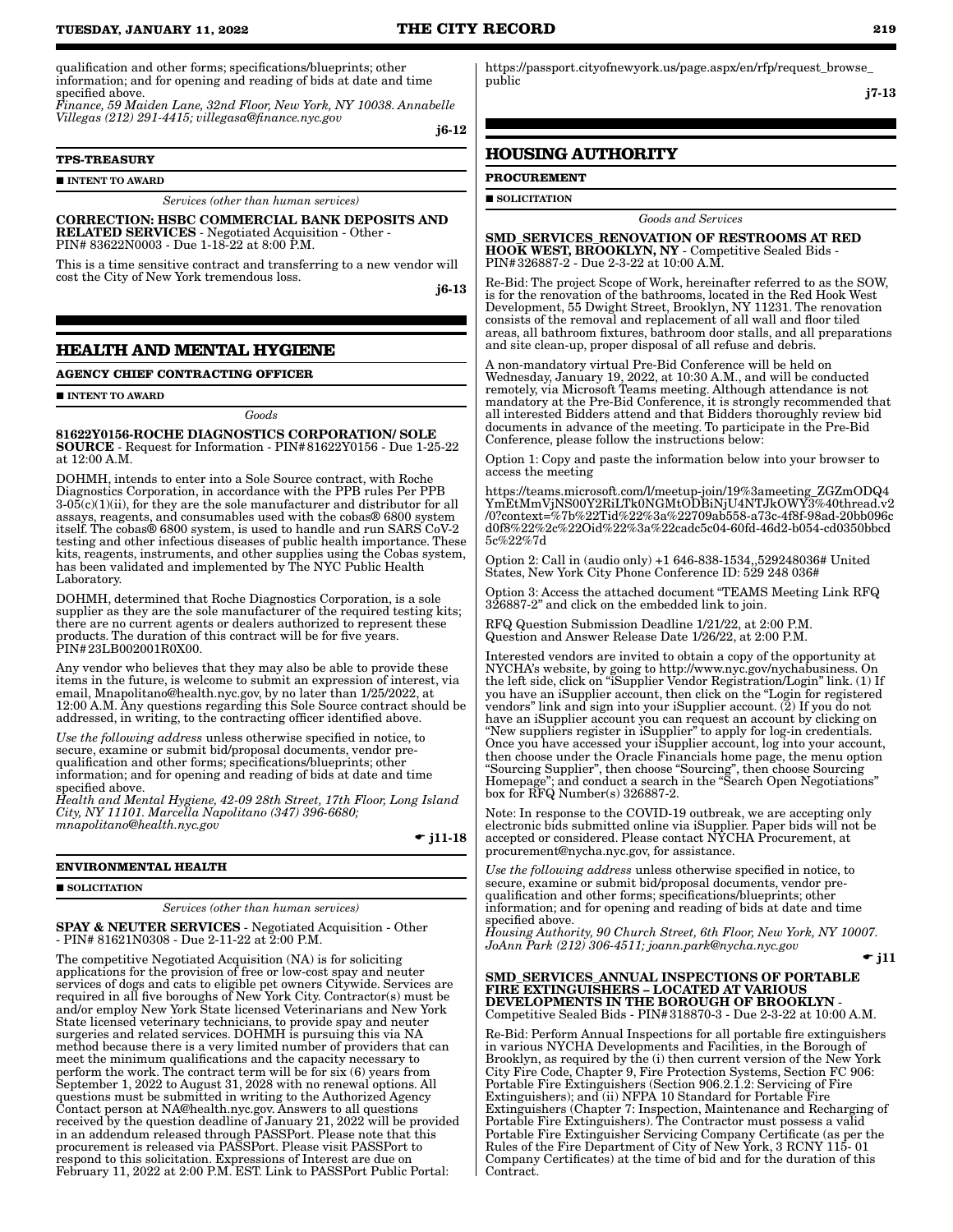qualification and other forms; specifications/blueprints; other information; and for opening and reading of bids at date and time specified above.

*Finance, 59 Maiden Lane, 32nd Floor, New York, NY 10038. Annabelle Villegas (212) 291-4415; villegasa@finance.nyc.gov*

j6-12

# **TPS-TREASURY**

 $\blacksquare$ INTENT TO AWARD

*Services (other than human services)*

CORRECTION: HSBC COMMERCIAL BANK DEPOSITS AND RELATED SERVICES - Negotiated Acquisition - Other - PIN# 83622N0003 - Due 1-18-22 at 8:00 P.M.

This is a time sensitive contract and transferring to a new vendor will cost the City of New York tremendous loss.

j6-13

# **HEALTH AND MENTAL HYGIENE**

## **AGENCY CHIEF CONTRACTING OFFICER**

#### **INTENT TO AWARD**

*Goods*

81622Y0156-ROCHE DIAGNOSTICS CORPORATION/ SOLE SOURCE - Request for Information - PIN#81622Y0156 - Due 1-25-22 at 12:00 A.M.

DOHMH, intends to enter into a Sole Source contract, with Roche Diagnostics Corporation, in accordance with the PPB rules Per PPB  $3-05(c)(1)(ii)$ , for they are the sole manufacturer and distributor for all assays, reagents, and consumables used with the cobas® 6800 system itself. The cobas® 6800 system, is used to handle and run SARS CoV-2 testing and other infectious diseases of public health importance. These kits, reagents, instruments, and other supplies using the Cobas system, has been validated and implemented by The NYC Public Health Laboratory.

DOHMH, determined that Roche Diagnostics Corporation, is a sole supplier as they are the sole manufacturer of the required testing kits; there are no current agents or dealers authorized to represent these products. The duration of this contract will be for five years. PIN#23LB002001R0X00.

Any vendor who believes that they may also be able to provide these items in the future, is welcome to submit an expression of interest, via email, Mnapolitano@health.nyc.gov, by no later than 1/25/2022, at 12:00 A.M. Any questions regarding this Sole Source contract should be addressed, in writing, to the contracting officer identified above.

*Use the following address* unless otherwise specified in notice, to secure, examine or submit bid/proposal documents, vendor prequalification and other forms; specifications/blueprints; other information; and for opening and reading of bids at date and time specified above.

*Health and Mental Hygiene, 42-09 28th Street, 17th Floor, Long Island City, NY 11101. Marcella Napolitano (347) 396-6680; mnapolitano@health.nyc.gov*

 $\bullet$  j11-18

# **ENVIRONMENTAL HEALTH**

#### $\blacksquare$  SOLICITATION

*Services (other than human services)*

SPAY & NEUTER SERVICES - Negotiated Acquisition - Other - PIN# 81621N0308 - Due 2-11-22 at 2:00 P.M.

The competitive Negotiated Acquisition (NA) is for soliciting applications for the provision of free or low-cost spay and neuter services of dogs and cats to eligible pet owners Citywide. Services are required in all five boroughs of New York City. Contractor(s) must be and/or employ New York State licensed Veterinarians and New York State licensed veterinary technicians, to provide spay and neuter surgeries and related services. DOHMH is pursuing this via NA method because there is a very limited number of providers that can meet the minimum qualifications and the capacity necessary to perform the work. The contract term will be for six  $(6)$  years from September 1, 2022 to August 31, 2028 with no renewal options. All questions must be submitted in writing to the Authorized Agency Contact person at NA@health.nyc.gov. Answers to all questions received by the question deadline of January 21, 2022 will be provided in an addendum released through PASSPort. Please note that this procurement is released via PASSPort. Please visit PASSPort to respond to this solicitation. Expressions of Interest are due on February 11, 2022 at 2:00 P.M. EST. Link to PASSPort Public Portal:

https://passport.cityofnewyork.us/page.aspx/en/rfp/request\_browse\_ public

j7-13

# **HOUSING AUTHORITY**

**PROCUREMENT SOLICITATION** 

*Goods and Services*

SMD\_SERVICES\_RENOVATION OF RESTROOMS AT RED HOOK WEST, BROOKLYN, NY - Competitive Sealed Bids - PIN#326887-2 - Due 2-3-22 at 10:00 A.M.

Re-Bid: The project Scope of Work, hereinafter referred to as the SOW, is for the renovation of the bathrooms, located in the Red Hook West Development, 55 Dwight Street, Brooklyn, NY 11231. The renovation consists of the removal and replacement of all wall and floor tiled areas, all bathroom fixtures, bathroom door stalls, and all preparations and site clean-up, proper disposal of all refuse and debris.

A non-mandatory virtual Pre-Bid Conference will be held on Wednesday, January 19, 2022, at 10:30 A.M., and will be conducted remotely, via Microsoft Teams meeting. Although attendance is not mandatory at the Pre-Bid Conference, it is strongly recommended that all interested Bidders attend and that Bidders thoroughly review bid documents in advance of the meeting. To participate in the Pre-Bid Conference, please follow the instructions below:

Option 1: Copy and paste the information below into your browser to access the meeting

https://teams.microsoft.com/l/meetup-join/19%3ameeting\_ZGZmODQ4 YmEtMmVjNS00Y2RiLTk0NGMtODBiNjU4NTJkOWY3%40thread.v2 /0?context=%7b%22Tid%22%3a%22709ab558-a73c-4f8f-98ad-20bb096c d0f8%22%2c%22Oid%22%3a%22cadc5c04-60fd-46d2-b054-cd0350bbcd 5c%22%7d

Option 2: Call in (audio only) +1 646-838-1534,,529248036# United States, New York City Phone Conference ID: 529 248 036#

Option 3: Access the attached document "TEAMS Meeting Link RFQ 326887-2" and click on the embedded link to join.

RFQ Question Submission Deadline 1/21/22, at 2:00 P.M. Question and Answer Release Date 1/26/22, at 2:00 P.M.

Interested vendors are invited to obtain a copy of the opportunity at NYCHA's website, by going to http://www.nyc.gov/nychabusiness. On the left side, click on "iSupplier Vendor Registration/Login" link. (1) If you have an iSupplier account, then click on the "Login for registered vendors" link and sign into your iSupplier account. (2) If you do not have an iSupplier account you can request an account by clicking on "New suppliers register in iSupplier" to apply for log-in credentials. Once you have accessed your iSupplier account, log into your account, then choose under the Oracle Financials home page, the menu option "Sourcing Supplier", then choose "Sourcing", then choose Sourcing Homepage"; and conduct a search in the "Search Open Negotiations" box for RFQ Number(s) 326887-2.

Note: In response to the COVID-19 outbreak, we are accepting only electronic bids submitted online via iSupplier. Paper bids will not be accepted or considered. Please contact NYCHA Procurement, at procurement@nycha.nyc.gov, for assistance.

*Use the following address* unless otherwise specified in notice, to secure, examine or submit bid/proposal documents, vendor prequalification and other forms; specifications/blueprints; other information; and for opening and reading of bids at date and time specified above.

*Housing Authority, 90 Church Street, 6th Floor, New York, NY 10007. JoAnn Park (212) 306-4511; joann.park@nycha.nyc.gov*

 $\div$  j11

#### SMD\_SERVICES\_ANNUAL INSPECTIONS OF PORTABLE FIRE EXTINGUISHERS – LOCATED AT VARIOUS DEVELOPMENTS IN THE BOROUGH OF BROOKLYN Competitive Sealed Bids - PIN#318870-3 - Due 2-3-22 at 10:00 A.M.

Re-Bid: Perform Annual Inspections for all portable fire extinguishers in various NYCHA Developments and Facilities, in the Borough of Brooklyn, as required by the (i) then current version of the New York City Fire Code, Chapter 9, Fire Protection Systems, Section FC 906: Portable Fire Extinguishers (Section 906.2.1.2: Servicing of Fire Extinguishers); and (ii) NFPA 10 Standard for Portable Fire Extinguishers (Chapter 7: Inspection, Maintenance and Recharging of Portable Fire Extinguishers). The Contractor must possess a valid Portable Fire Extinguisher Servicing Company Certificate (as per the Rules of the Fire Department of City of New York, 3 RCNY 115- 01 Company Certificates) at the time of bid and for the duration of this Contract.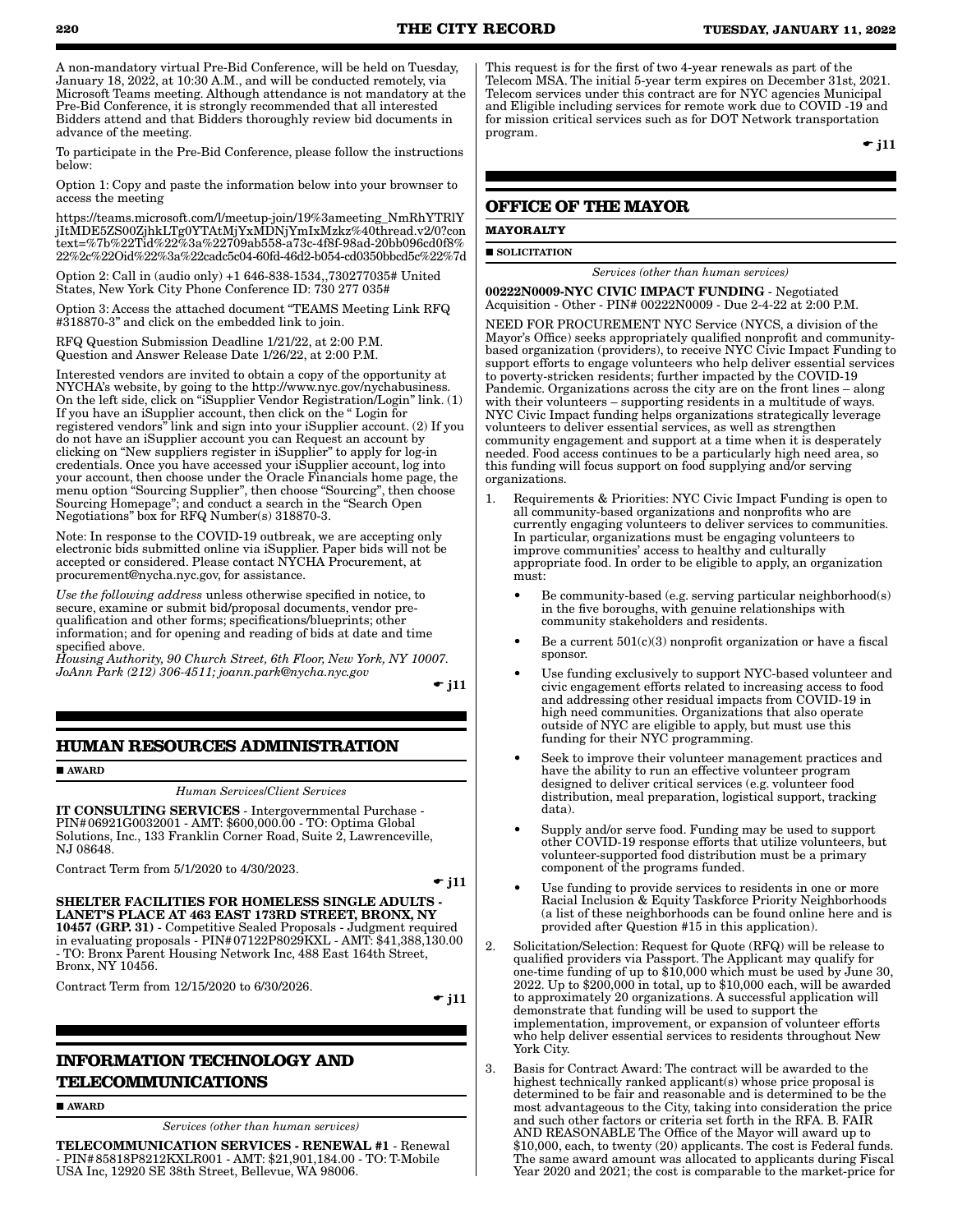A non-mandatory virtual Pre-Bid Conference, will be held on Tuesday, January 18, 2022, at 10:30 A.M., and will be conducted remotely, via Microsoft Teams meeting. Although attendance is not mandatory at the Pre-Bid Conference, it is strongly recommended that all interested Bidders attend and that Bidders thoroughly review bid documents in advance of the meeting.

To participate in the Pre-Bid Conference, please follow the instructions below:

Option 1: Copy and paste the information below into your brownser to access the meeting

https://teams.microsoft.com/l/meetup-join/19%3ameeting\_NmRhYTRlY jItMDE5ZS00ZjhkLTg0YTAtMjYxMDNjYmIxMzkz%40thread.v2/0?con text=%7b%22Tid%22%3a%22709ab558-a73c-4f8f-98ad-20bb096cd0f8% 22%2c%22Oid%22%3a%22cadc5c04-60fd-46d2-b054-cd0350bbcd5c%22%7d

Option 2: Call in (audio only) +1 646-838-1534,,730277035# United States, New York City Phone Conference ID: 730 277 035#

Option 3: Access the attached document "TEAMS Meeting Link RFQ #318870-3" and click on the embedded link to join.

RFQ Question Submission Deadline 1/21/22, at 2:00 P.M. Question and Answer Release Date 1/26/22, at 2:00 P.M.

Interested vendors are invited to obtain a copy of the opportunity at NYCHA's website, by going to the http://www.nyc.gov/nychabusiness. On the left side, click on "iSupplier Vendor Registration/Login" link. (1) If you have an iSupplier account, then click on the " Login for registered vendors" link and sign into your iSupplier account. (2) If you do not have an iSupplier account you can Request an account by clicking on "New suppliers register in iSupplier" to apply for log-in credentials. Once you have accessed your iSupplier account, log into your account, then choose under the Oracle Financials home page, the menu option "Sourcing Supplier", then choose "Sourcing", then choose Sourcing Homepage"; and conduct a search in the "Search Open Negotiations" box for RFQ Number(s) 318870-3.

Note: In response to the COVID-19 outbreak, we are accepting only electronic bids submitted online via iSupplier. Paper bids will not be accepted or considered. Please contact NYCHA Procurement, at procurement@nycha.nyc.gov, for assistance.

*Use the following address* unless otherwise specified in notice, to secure, examine or submit bid/proposal documents, vendor prequalification and other forms; specifications/blueprints; other information; and for opening and reading of bids at date and time specified above.

*Housing Authority, 90 Church Street, 6th Floor, New York, NY 10007. JoAnn Park (212) 306-4511; joann.park@nycha.nyc.gov*

 $\div$  j11

# **HUMAN RESOURCES ADMINISTRATION**

**AWARD** 

*Human Services*/*Client Services*

IT CONSULTING SERVICES - Intergovernmental Purchase - PIN#06921G0032001 - AMT: \$600,000.00 - TO: Optima Global Solutions, Inc., 133 Franklin Corner Road, Suite 2, Lawrenceville, NJ 08648.

Contract Term from 5/1/2020 to 4/30/2023.

 $\bullet$  j11

SHELTER FACILITIES FOR HOMELESS SINGLE ADULTS LANET'S PLACE AT 463 EAST 173RD STREET, BRONX, NY 10457 (GRP. 31) - Competitive Sealed Proposals - Judgment required in evaluating proposals - PIN#07122P8029KXL - AMT: \$41,388,130.00 - TO: Bronx Parent Housing Network Inc, 488 East 164th Street, Bronx, NY 10456.

Contract Term from 12/15/2020 to 6/30/2026.

 $\bullet$  j11

# **INFORMATION TECHNOLOGY AND TELECOMMUNICATIONS**

**AWARD** 

*Services (other than human services)*

TELECOMMUNICATION SERVICES - RENEWAL #1 - Renewal - PIN#85818P8212KXLR001 - AMT: \$21,901,184.00 - TO: T-Mobile USA Inc, 12920 SE 38th Street, Bellevue, WA 98006.

This request is for the first of two 4-year renewals as part of the Telecom MSA. The initial 5-year term expires on December 31st, 2021. Telecom services under this contract are for NYC agencies Municipal and Eligible including services for remote work due to COVID -19 and for mission critical services such as for DOT Network transportation program.

 $\overline{\phantom{a}}$  i11

# **OFFICE OF THE MAYOR**

**MAYORALTY SOLICITATION** 

*Services (other than human services)*

00222N0009-NYC CIVIC IMPACT FUNDING - Negotiated Acquisition - Other - PIN# 00222N0009 - Due 2-4-22 at 2:00 P.M.

NEED FOR PROCUREMENT NYC Service (NYCS, a division of the Mayor's Office) seeks appropriately qualified nonprofit and communitybased organization (providers), to receive NYC Civic Impact Funding to support efforts to engage volunteers who help deliver essential services to poverty-stricken residents; further impacted by the COVID-19 Pandemic. Organizations across the city are on the front lines – along with their volunteers – supporting residents in a multitude of ways. NYC Civic Impact funding helps organizations strategically leverage volunteers to deliver essential services, as well as strengthen community engagement and support at a time when it is desperately needed. Food access continues to be a particularly high need area, so this funding will focus support on food supplying and/or serving organizations.

- 1. Requirements & Priorities: NYC Civic Impact Funding is open to all community-based organizations and nonprofits who are currently engaging volunteers to deliver services to communities. In particular, organizations must be engaging volunteers to improve communities' access to healthy and culturally appropriate food. In order to be eligible to apply, an organization must:
	- Be community-based (e.g. serving particular neighborhood(s) in the five boroughs, with genuine relationships with community stakeholders and residents.
	- Be a current  $501(c)(3)$  nonprofit organization or have a fiscal sponsor.
	- Use funding exclusively to support NYC-based volunteer and civic engagement efforts related to increasing access to food and addressing other residual impacts from COVID-19 in high need communities. Organizations that also operate outside of NYC are eligible to apply, but must use this funding for their NYC programming.
	- Seek to improve their volunteer management practices and have the ability to run an effective volunteer program designed to deliver critical services (e.g. volunteer food distribution, meal preparation, logistical support, tracking data).
	- Supply and/or serve food. Funding may be used to support other COVID-19 response efforts that utilize volunteers, but volunteer-supported food distribution must be a primary component of the programs funded.
	- Use funding to provide services to residents in one or more Racial Inclusion & Equity Taskforce Priority Neighborhoods (a list of these neighborhoods can be found online here and is provided after Question #15 in this application).
- 2. Solicitation/Selection: Request for Quote (RFQ) will be release to qualified providers via Passport. The Applicant may qualify for one-time funding of up to \$10,000 which must be used by June 30, 2022. Up to \$200,000 in total, up to \$10,000 each, will be awarded to approximately 20 organizations. A successful application will demonstrate that funding will be used to support the implementation, improvement, or expansion of volunteer efforts who help deliver essential services to residents throughout New York City.
- 3. Basis for Contract Award: The contract will be awarded to the highest technically ranked applicant(s) whose price proposal is determined to be fair and reasonable and is determined to be the most advantageous to the City, taking into consideration the price and such other factors or criteria set forth in the RFA. B. FAIR AND REASONABLE The Office of the Mayor will award up to \$10,000, each, to twenty (20) applicants. The cost is Federal funds. The same award amount was allocated to applicants during Fiscal Year 2020 and 2021; the cost is comparable to the market-price for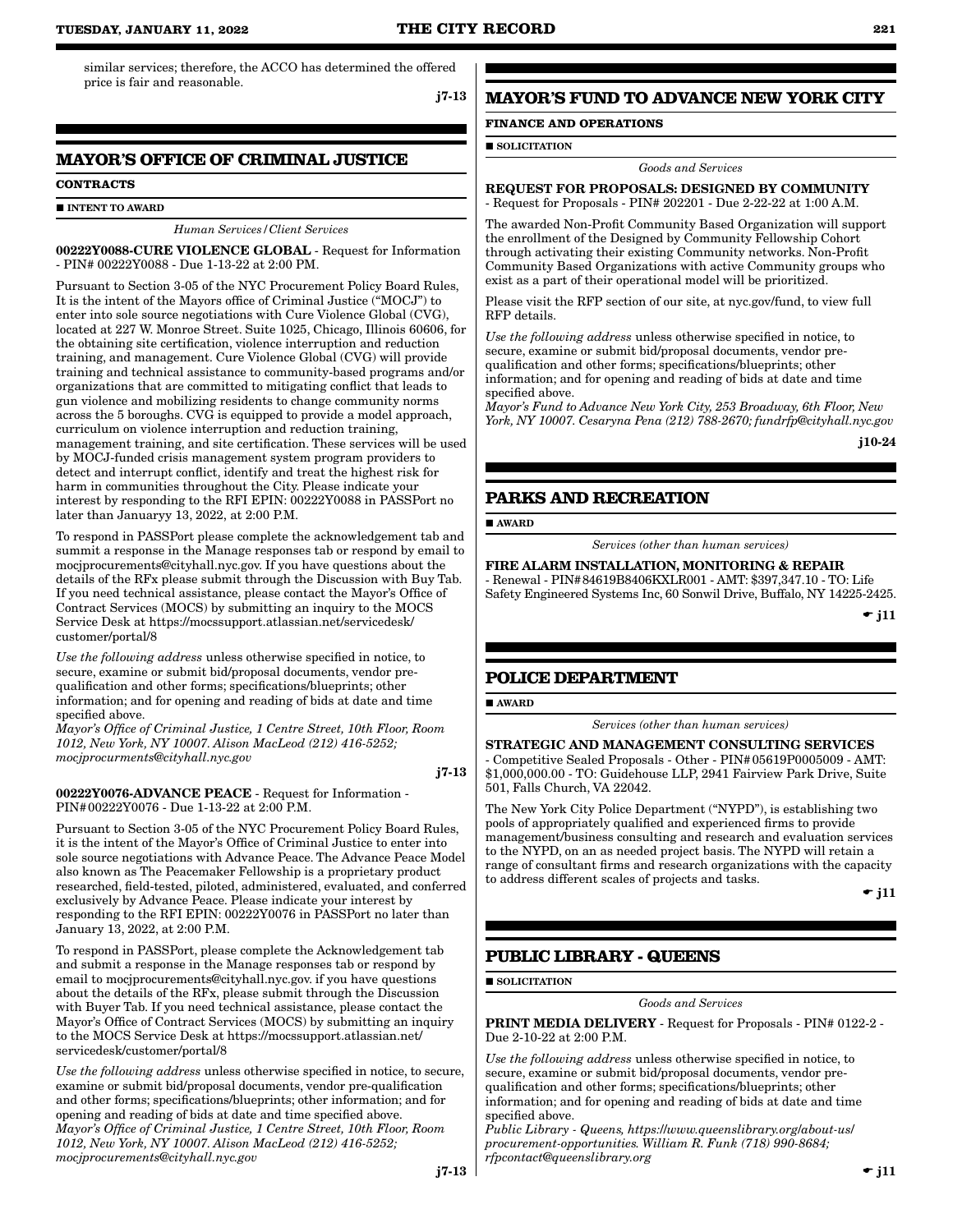similar services; therefore, the ACCO has determined the offered price is fair and reasonable.

j7-13

# **MAYOR'S OFFICE OF CRIMINAL JUSTICE**

#### **CONTRACTS**

#### **INTENT TO AWARD**

*Human Services/Client Services*

00222Y0088-CURE VIOLENCE GLOBAL - Request for Information - PIN# 00222Y0088 - Due 1-13-22 at 2:00 PM.

Pursuant to Section 3-05 of the NYC Procurement Policy Board Rules, It is the intent of the Mayors office of Criminal Justice ("MOCJ") to enter into sole source negotiations with Cure Violence Global (CVG), located at 227 W. Monroe Street. Suite 1025, Chicago, Illinois 60606, for the obtaining site certification, violence interruption and reduction training, and management. Cure Violence Global (CVG) will provide training and technical assistance to community-based programs and/or organizations that are committed to mitigating conflict that leads to gun violence and mobilizing residents to change community norms across the 5 boroughs. CVG is equipped to provide a model approach, curriculum on violence interruption and reduction training, management training, and site certification. These services will be used by MOCJ-funded crisis management system program providers to detect and interrupt conflict, identify and treat the highest risk for harm in communities throughout the City. Please indicate your interest by responding to the RFI EPIN: 00222Y0088 in PASSPort no later than Januaryy 13, 2022, at 2:00 P.M.

To respond in PASSPort please complete the acknowledgement tab and summit a response in the Manage responses tab or respond by email to mocjprocurements@cityhall.nyc.gov. If you have questions about the details of the RFx please submit through the Discussion with Buy Tab. If you need technical assistance, please contact the Mayor's Office of Contract Services (MOCS) by submitting an inquiry to the MOCS Service Desk at https://mocssupport.atlassian.net/servicedesk/ customer/portal/8

*Use the following address* unless otherwise specified in notice, to secure, examine or submit bid/proposal documents, vendor prequalification and other forms; specifications/blueprints; other information; and for opening and reading of bids at date and time specified above.

*Mayor's Office of Criminal Justice, 1 Centre Street, 10th Floor, Room 1012, New York, NY 10007. Alison MacLeod (212) 416-5252; mocjprocurments@cityhall.nyc.gov*

j7-13

#### 00222Y0076-ADVANCE PEACE - Request for Information - PIN#00222Y0076 - Due 1-13-22 at 2:00 P.M.

Pursuant to Section 3-05 of the NYC Procurement Policy Board Rules, it is the intent of the Mayor's Office of Criminal Justice to enter into sole source negotiations with Advance Peace. The Advance Peace Model also known as The Peacemaker Fellowship is a proprietary product researched, field-tested, piloted, administered, evaluated, and conferred exclusively by Advance Peace. Please indicate your interest by responding to the RFI EPIN: 00222Y0076 in PASSPort no later than January 13, 2022, at 2:00 P.M.

To respond in PASSPort, please complete the Acknowledgement tab and submit a response in the Manage responses tab or respond by email to mocjprocurements@cityhall.nyc.gov. if you have questions about the details of the RFx, please submit through the Discussion with Buyer Tab. If you need technical assistance, please contact the Mayor's Office of Contract Services (MOCS) by submitting an inquiry to the MOCS Service Desk at https://mocssupport.atlassian.net/ servicedesk/customer/portal/8

*Use the following address* unless otherwise specified in notice, to secure, examine or submit bid/proposal documents, vendor pre-qualification and other forms; specifications/blueprints; other information; and for opening and reading of bids at date and time specified above. *Mayor's Office of Criminal Justice, 1 Centre Street, 10th Floor, Room 1012, New York, NY 10007. Alison MacLeod (212) 416-5252; mocjprocurements@cityhall.nyc.gov*

# j7-13

# **MAYOR'S FUND TO ADVANCE NEW YORK CITY**

# **FINANCE AND OPERATIONS**

**SOLICITATION** 

*Goods and Services*

### REQUEST FOR PROPOSALS: DESIGNED BY COMMUNITY - Request for Proposals - PIN# 202201 - Due 2-22-22 at 1:00 A.M.

The awarded Non-Profit Community Based Organization will support the enrollment of the Designed by Community Fellowship Cohort through activating their existing Community networks. Non-Profit Community Based Organizations with active Community groups who exist as a part of their operational model will be prioritized.

Please visit the RFP section of our site, at nyc.gov/fund, to view full RFP details.

*Use the following address* unless otherwise specified in notice, to secure, examine or submit bid/proposal documents, vendor prequalification and other forms; specifications/blueprints; other information; and for opening and reading of bids at date and time specified above.

*Mayor's Fund to Advance New York City, 253 Broadway, 6th Floor, New York, NY 10007. Cesaryna Pena (212) 788-2670; fundrfp@cityhall.nyc.gov*

j10-24

# **PARKS AND RECREATION**

AWARD

*Services (other than human services)*

FIRE ALARM INSTALLATION, MONITORING & REPAIR - Renewal - PIN#84619B8406KXLR001 - AMT: \$397,347.10 - TO: Life Safety Engineered Systems Inc, 60 Sonwil Drive, Buffalo, NY 14225-2425.

 $\bullet$  j11

# **POLICE DEPARTMENT**

■ AWARD

*Services (other than human services)*

STRATEGIC AND MANAGEMENT CONSULTING SERVICES - Competitive Sealed Proposals - Other - PIN#05619P0005009 - AMT: \$1,000,000.00 - TO: Guidehouse LLP, 2941 Fairview Park Drive, Suite 501, Falls Church, VA 22042.

The New York City Police Department ("NYPD"), is establishing two pools of appropriately qualified and experienced firms to provide management/business consulting and research and evaluation services to the NYPD, on an as needed project basis. The NYPD will retain a range of consultant firms and research organizations with the capacity to address different scales of projects and tasks.

 $\bullet$  i11

 $\bullet$  j11

# **PUBLIC LIBRARY - QUEENS**

**SOLICITATION** 

*Goods and Services*

PRINT MEDIA DELIVERY - Request for Proposals - PIN# 0122-2 - Due 2-10-22 at 2:00 P.M.

*Use the following address* unless otherwise specified in notice, to secure, examine or submit bid/proposal documents, vendor prequalification and other forms; specifications/blueprints; other information; and for opening and reading of bids at date and time specified above.

*Public Library - Queens, https:*//*www.queenslibrary.org*/*about-us*/ *procurement-opportunities. William R. Funk (718) 990-8684; rfpcontact@queenslibrary.org*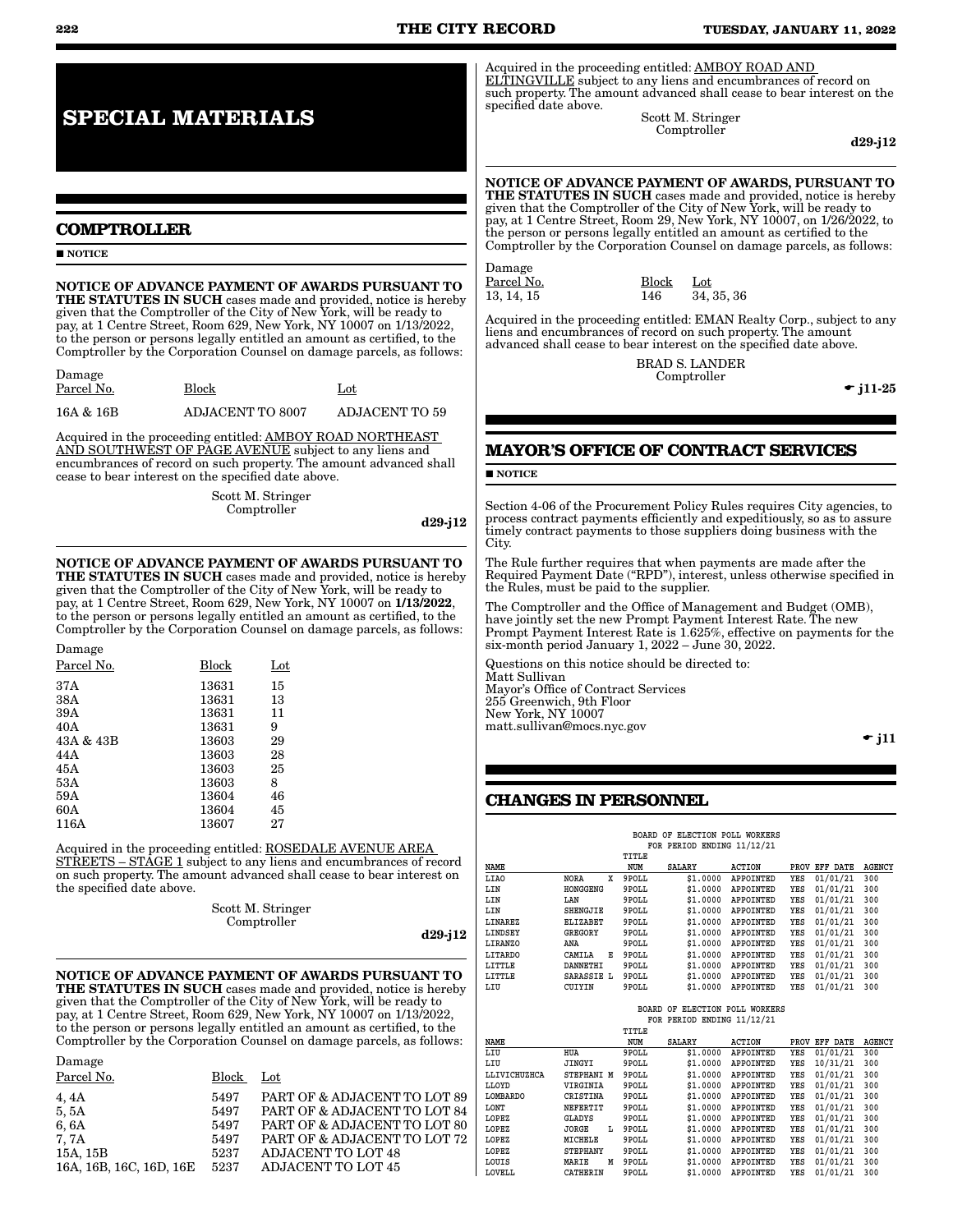# **222 THE CITY RECORD TUESDAY, JANUARY 11, 2022**

Acquired in the proceeding entitled: AMBOY ROAD AND ELTINGVILLE subject to any liens and encumbrances of record on such property. The amount advanced shall cease to bear interest on the specified date above.

Scott M. Stringer Comptroller

d29-j12

#### NOTICE OF ADVANCE PAYMENT OF AWARDS, PURSUANT TO

THE STATUTES IN SUCH cases made and provided, notice is hereby given that the Comptroller of the City of New York, will be ready to pay, at 1 Centre Street, Room 29, New York, NY 10007, on 1/26/2022, to the person or persons legally entitled an amount as certified to the Comptroller by the Corporation Counsel on damage parcels, as follows:

Damage 13, 14, 15 146

Parcel No. 38 Block Lot 13, 14, 15

Acquired in the proceeding entitled: EMAN Realty Corp., subject to any liens and encumbrances of record on such property. The amount advanced shall cease to bear interest on the specified date above.

> BRAD S. LANDER Comptroller

 $\bullet$  j11-25

 $\overline{\phantom{a}}$  i11

# **MAYOR'S OFFICE OF CONTRACT SERVICES**

#### **NOTICE**

Section 4-06 of the Procurement Policy Rules requires City agencies, to process contract payments efficiently and expeditiously, so as to assure timely contract payments to those suppliers doing business with the City.

The Rule further requires that when payments are made after the Required Payment Date ("RPD"), interest, unless otherwise specified in the Rules, must be paid to the supplier.

The Comptroller and the Office of Management and Budget (OMB), have jointly set the new Prompt Payment Interest Rate. The new Prompt Payment Interest Rate is 1.625%, effective on payments for the six-month period January 1, 2022 – June 30, 2022.

Questions on this notice should be directed to: Matt Sullivan Mayor's Office of Contract Services 255 Greenwich, 9th Floor New York, NY 10007 matt.sullivan@mocs.nyc.gov

# **CHANGES IN PERSONNEL**

| ELECTION POLL<br>WORKERS<br>BOARD OF<br>FOR PERIOD ENDING 11/12/21 |                  |       |               |                  |      |                 |               |
|--------------------------------------------------------------------|------------------|-------|---------------|------------------|------|-----------------|---------------|
|                                                                    |                  |       |               |                  |      |                 |               |
|                                                                    |                  | TITLE |               |                  |      |                 |               |
| NAME                                                               |                  | NUM   | <b>SALARY</b> | <b>ACTION</b>    | PROV | <b>EFF DATE</b> | <b>AGENCY</b> |
| LIAO                                                               | x<br><b>NORA</b> | 9POLL | \$1.0000      | APPOINTED        | YES  | 01/01/21        | 300           |
| LIN                                                                | HONGGENG         | 9POLL | \$1.0000      | <b>APPOINTED</b> | YES  | 01/01/21        | 300           |
| LIN                                                                | LAN              | 9POLL | \$1.0000      | APPOINTED        | YES  | 01/01/21        | 300           |
| LIN                                                                | <b>SHENGJIE</b>  | 9POLL | \$1.0000      | APPOINTED        | YES  | 01/01/21        | 300           |
| LINAREZ                                                            | <b>ELIZABET</b>  | 9POLL | \$1.0000      | APPOINTED        | YES  | 01/01/21        | 300           |
| LINDSEY                                                            | GREGORY          | 9POLL | \$1.0000      | <b>APPOINTED</b> | YES  | 01/01/21        | 300           |
| LIRANZO                                                            | ANA              | 9POLL | \$1.0000      | APPOINTED        | YES  | 01/01/21        | 300           |
| <b>LITARDO</b>                                                     | CAMILA<br>Е      | 9POLL | \$1.0000      | <b>APPOINTED</b> | YES  | 01/01/21        | 300           |
| LITTLE                                                             | DANNETHI         | 9POLL | \$1,0000      | APPOINTED        | YES  | 01/01/21        | 300           |
| LITTLE                                                             | SARASSIE L       | 9POLL | \$1.0000      | <b>APPOINTED</b> | YES  | 01/01/21        | 300           |
| LIU                                                                | CUIYIN           | 9POLL | \$1.0000      | <b>APPOINTED</b> | YES  | 01/01/21        | 300           |

 **BOARD OF ELECTION POLL WORKERS FOR PERIOD ENDING 11/12/21**

|                 |                 | TITLE |               |                  |      |             |               |
|-----------------|-----------------|-------|---------------|------------------|------|-------------|---------------|
| <b>NAME</b>     |                 | NUM   | <b>SALARY</b> | <b>ACTION</b>    | PROV | DATE<br>EFF | <b>AGENCY</b> |
| LIU             | <b>HUA</b>      | 9POLL | \$1,0000      | <b>APPOINTED</b> | YES  | 01/01/21    | 300           |
| LIU             | JINGYI          | 9POLL | \$1,0000      | <b>APPOINTED</b> | YES  | 10/31/21    | 300           |
| LLIVICHUZHCA    | STEPHANI M      | 9POLL | \$1,0000      | <b>APPOINTED</b> | YES  | 01/01/21    | 300           |
| LLOYD           | VIRGINIA        | 9POLL | \$1,0000      | APPOINTED        | YES  | 01/01/21    | 300           |
| <b>LOMBARDO</b> | CRISTINA        | 9POLL | \$1,0000      | <b>APPOINTED</b> | YES  | 01/01/21    | 300           |
| LONT            | <b>NEFERTIT</b> | 9POLL | \$1,0000      | <b>APPOINTED</b> | YES  | 01/01/21    | 300           |
| LOPEZ           | GLADYS          | 9POLL | \$1,0000      | <b>APPOINTED</b> | YES  | 01/01/21    | 300           |
| LOPEZ           | JORGE<br>L      | 9POLL | \$1,0000      | APPOINTED        | YES  | 01/01/21    | 300           |
| LOPEZ           | MICHELE         | 9POLL | \$1,0000      | <b>APPOINTED</b> | YES  | 01/01/21    | 300           |
| LOPEZ           | <b>STEPHANY</b> | 9POLL | \$1,0000      | <b>APPOINTED</b> | YES  | 01/01/21    | 300           |
| LOUIS           | M<br>MARIE      | 9POLL | \$1,0000      | <b>APPOINTED</b> | YES  | 01/01/21    | 300           |
| LOVELL          | CATHERIN        | 9POLL | \$1,0000      | <b>APPOINTED</b> | YES  | 01/01/21    | 300           |

# **SPECIAL MATERIALS**

# **COMPTROLLER**

**NOTICE** 

Damage

NOTICE OF ADVANCE PAYMENT OF AWARDS PURSUANT TO THE STATUTES IN SUCH cases made and provided, notice is hereby given that the Comptroller of the City of New York, will be ready to pay, at 1 Centre Street, Room 629, New York, NY 10007 on 1/13/2022, to the person or persons legally entitled an amount as certified, to the Comptroller by the Corporation Counsel on damage parcels, as follows:

| Damage     |                  |                       |
|------------|------------------|-----------------------|
| Parcel No. | Block            | $_{\rm Lot}$          |
| 16A & 16B  | ADJACENT TO 8007 | <b>ADJACENT TO 59</b> |

Acquired in the proceeding entitled: AMBOY ROAD NORTHEAST AND SOUTHWEST OF PAGE AVENUE subject to any liens and encumbrances of record on such property. The amount advanced shall cease to bear interest on the specified date above.

> Scott M. Stringer Comptroller

> > d29-j12

NOTICE OF ADVANCE PAYMENT OF AWARDS PURSUANT TO THE STATUTES IN SUCH cases made and provided, notice is hereby given that the Comptroller of the City of New York, will be ready to pay, at 1 Centre Street, Room 629, New York, NY 10007 on 1/13/2022, to the person or persons legally entitled an amount as certified, to the Comptroller by the Corporation Counsel on damage parcels, as follows:

| Damage     |       |     |
|------------|-------|-----|
| Parcel No. | Block | Lot |
| 37A        | 13631 | 15  |
| 38A        | 13631 | 13  |
| 39A        | 13631 | 11  |
| 40A        | 13631 | 9   |
| 43A & 43B  | 13603 | 29  |
| 44A        | 13603 | 28  |
| 45A        | 13603 | 25  |
| 53A        | 13603 | 8   |
| 59A        | 13604 | 46  |
| 60A        | 13604 | 45  |
| 116A       | 13607 | 27  |
|            |       |     |

Acquired in the proceeding entitled: ROSEDALE AVENUE AREA STREETS – STAGE 1 subject to any liens and encumbrances of record on such property. The amount advanced shall cease to bear interest on the specified date above.

> Scott M. Stringer Comptroller

d29-j12

NOTICE OF ADVANCE PAYMENT OF AWARDS PURSUANT TO THE STATUTES IN SUCH cases made and provided, notice is hereby given that the Comptroller of the City of New York, will be ready to pay, at 1 Centre Street, Room 629, New York, NY 10007 on 1/13/2022, to the person or persons legally entitled an amount as certified, to the Comptroller by the Corporation Counsel on damage parcels, as follows:

| Damage                  |       |                              |
|-------------------------|-------|------------------------------|
| Parcel No.              | Block | Lot                          |
| 4,4A                    | 5497  | PART OF & ADJACENT TO LOT 89 |
| 5,5A                    | 5497  | PART OF & ADJACENT TO LOT 84 |
| 6,6A                    | 5497  | PART OF & ADJACENT TO LOT 80 |
| 7, 7A                   | 5497  | PART OF & ADJACENT TO LOT 72 |
| 15A, 15B                | 5237  | <b>ADJACENT TO LOT 48</b>    |
| 16A, 16B, 16C, 16D, 16E | 5237  | <b>ADJACENT TO LOT 45</b>    |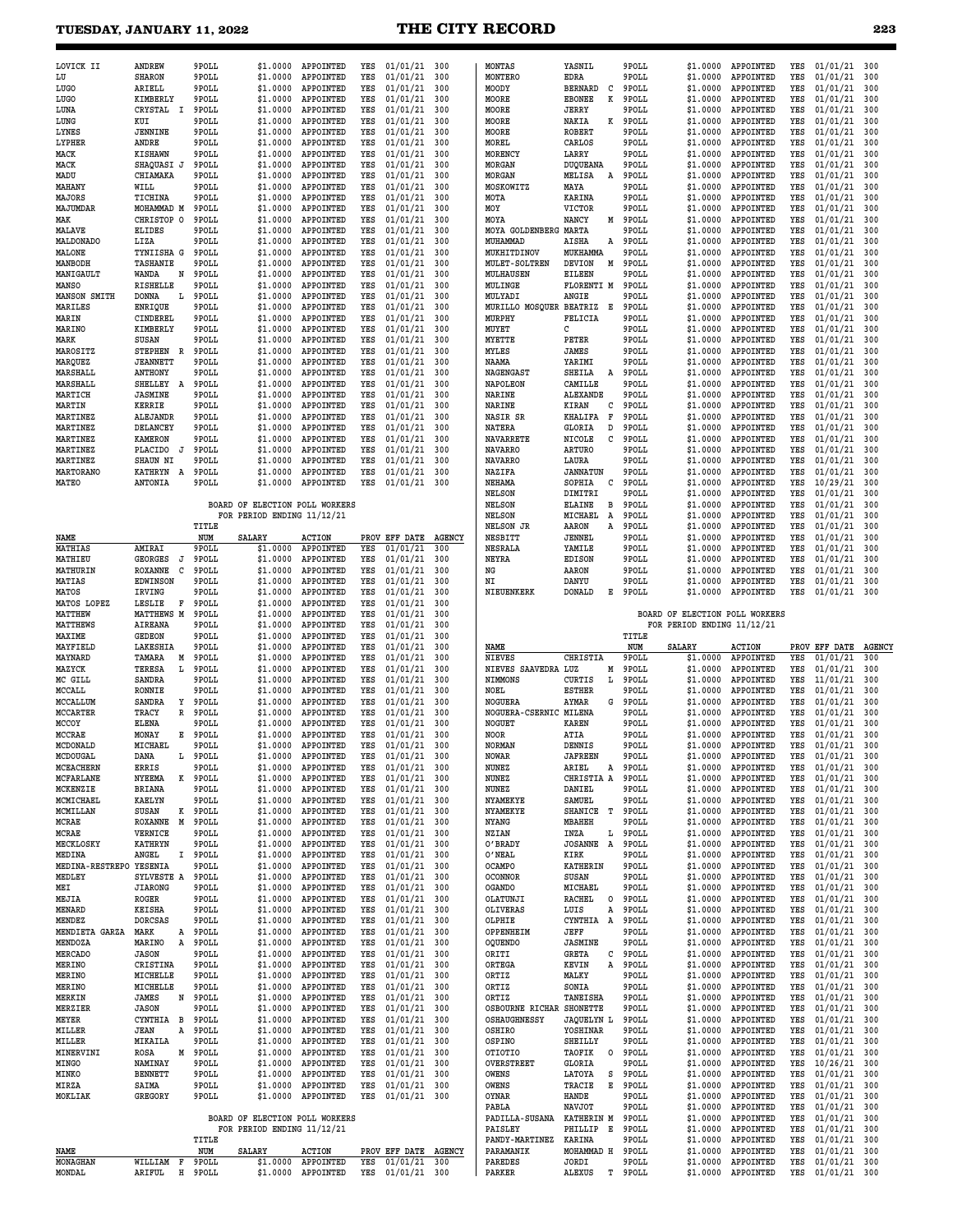#### **TUESDAY, JANUARY 11, 2022 THE CITY RECORD 223**

| LOVICK II           | ANDREW          |   | 9POLL | \$1,0000 | APPOINTED        | YES | 01/01/21 | 300 |
|---------------------|-----------------|---|-------|----------|------------------|-----|----------|-----|
| LU                  | <b>SHARON</b>   |   | 9POLL | \$1,0000 | APPOINTED        | YES | 01/01/21 | 300 |
| LUGO                | ARIELL          |   | 9POLL | \$1,0000 | APPOINTED        | YES | 01/01/21 | 300 |
| LUGO                | KIMBERLY        |   | 9POLL | \$1,0000 | APPOINTED        | YES | 01/01/21 | 300 |
| LUNA                | <b>CRYSTAL</b>  | I | 9POLL | \$1,0000 | APPOINTED        | YES | 01/01/21 | 300 |
| LUNG                | KUI             |   | 9POLL | \$1,0000 | APPOINTED        | YES | 01/01/21 | 300 |
| LYNES               | <b>JENNINE</b>  |   | 9POLL | \$1,0000 | APPOINTED        | YES | 01/01/21 | 300 |
| <b>LYPHER</b>       | ANDRE           |   | 9POLL | \$1,0000 | APPOINTED        | YES | 01/01/21 | 300 |
| MACK                | <b>KISHAWN</b>  |   | 9POLL | \$1,0000 | APPOINTED        | YES | 01/01/21 | 300 |
| MACK                | SHAOUASI J      |   | 9POLL | \$1,0000 | APPOINTED        | YES | 01/01/21 | 300 |
| MADU                | CHIAMAKA        |   | 9POLL | \$1,0000 | APPOINTED        | YES | 01/01/21 | 300 |
| MAHANY              | WILL            |   | 9POLL | \$1,0000 | APPOINTED        | YES | 01/01/21 | 300 |
| MAJORS              | TICHINA         |   | 9POLL | \$1,0000 | APPOINTED        | YES | 01/01/21 | 300 |
| MAJUMDAR            | MOHAMMAD M      |   | 9POLL | \$1,0000 | APPOINTED        | YES | 01/01/21 | 300 |
| MAK                 | CHRISTOP O      |   | 9POLL | \$1,0000 | APPOINTED        | YES | 01/01/21 | 300 |
| <b>MALAVE</b>       | <b>ELIDES</b>   |   | 9POLL | \$1,0000 | APPOINTED        | YES | 01/01/21 | 300 |
| MALDONADO           | LIZA            |   | 9POLL | \$1,0000 | APPOINTED        | YES | 01/01/21 | 300 |
| MALONE              | TYNIISHA G      |   | 9POLL | \$1.0000 | APPOINTED        | YES | 01/01/21 | 300 |
| MANBODH             | TASHANIE        |   | 9POLL | \$1,0000 | APPOINTED        | YES | 01/01/21 | 300 |
| MANIGAULT           | <b>WANDA</b>    | N | 9POLL | \$1,0000 | APPOINTED        | YES | 01/01/21 | 300 |
| <b>MANSO</b>        | <b>RISHELLE</b> |   | 9POLL | \$1,0000 | APPOINTED        | YES | 01/01/21 | 300 |
| <b>MANSON SMITH</b> | <b>DONNA</b>    | L | 9POLL | \$1,0000 | APPOINTED        | YES | 01/01/21 | 300 |
| MARILES             | <b>ENRIOUE</b>  |   | 9POLL | \$1,0000 | APPOINTED        | YES | 01/01/21 | 300 |
| <b>MARIN</b>        | <b>CINDEREL</b> |   | 9POLL | \$1,0000 | APPOINTED        | YES | 01/01/21 | 300 |
| MARINO              | KIMBERLY        |   | 9POLL | \$1,0000 | <b>APPOINTED</b> | YES | 01/01/21 | 300 |
| MARK                | <b>SUSAN</b>    |   | 9POLL | \$1,0000 | APPOINTED        | YES | 01/01/21 | 300 |
| MAROSITZ            | <b>STEPHEN</b>  | R | 9POLL | \$1.0000 | <b>APPOINTED</b> | YES | 01/01/21 | 300 |
| MARQUEZ             | <b>JEANNETT</b> |   | 9POLL | \$1,0000 | APPOINTED        | YES | 01/01/21 | 300 |
| <b>MARSHALL</b>     | <b>ANTHONY</b>  |   | 9POLL | \$1,0000 | <b>APPOINTED</b> | YES | 01/01/21 | 300 |
| MARSHALL            | <b>SHELLEY</b>  | Α | 9POLL | \$1,0000 | APPOINTED        | YES | 01/01/21 | 300 |
| MARTICH             | <b>JASMINE</b>  |   | 9POLL | \$1.0000 | APPOINTED        | YES | 01/01/21 | 300 |
| MARTIN              | <b>KERRIE</b>   |   | 9POLL | \$1,0000 | APPOINTED        | YES | 01/01/21 | 300 |
| <b>MARTINEZ</b>     | <b>ALEJANDR</b> |   | 9POLL | \$1,0000 | APPOINTED        | YES | 01/01/21 | 300 |
| <b>MARTINEZ</b>     | <b>DELANCEY</b> |   | 9POLL | \$1,0000 | APPOINTED        | YES | 01/01/21 | 300 |
| <b>MARTINEZ</b>     | <b>KAMERON</b>  |   | 9POLL | \$1,0000 | APPOINTED        | YES | 01/01/21 | 300 |
| MARTINEZ            | <b>PLACIDO</b>  | J | 9POLL | \$1.0000 | APPOINTED        | YES | 01/01/21 | 300 |
| <b>MARTINEZ</b>     | <b>SHAUN NI</b> |   | 9POLL | \$1,0000 | APPOINTED        | YES | 01/01/21 | 300 |
| <b>MARTORANO</b>    | <b>KATHRYN</b>  | Α | 9POLL | \$1.0000 | APPOINTED        | YES | 01/01/21 | 300 |
| <b>MATEO</b>        | <b>ANTONIA</b>  |   | 9POLL | \$1,0000 | APPOINTED        | YES | 01/01/21 | 300 |
|                     |                 |   |       |          |                  |     |          |     |
|                     |                 |   |       |          |                  |     |          |     |

# **BOARD OF ELECTION POLL WORKERS FOR PERIOD ENDING 11/12/21**

|                        |                 |   | TITLE |                                |                  |     |               |               |
|------------------------|-----------------|---|-------|--------------------------------|------------------|-----|---------------|---------------|
| NAME                   |                 |   | NUM   | <b>SALARY</b>                  | <b>ACTION</b>    |     | PROV EFF DATE | <b>AGENCY</b> |
| <b>MATHIAS</b>         | AMIRAI          |   | 9POLL | \$1.0000                       | APPOINTED        | YES | 01/01/21      | 300           |
| MATHIEU                | <b>GEORGES</b>  | J | 9POLL | \$1.0000                       | APPOINTED        | YES | 01/01/21      | 300           |
| MATHURIN               | ROXANNE         | C | 9POLL | \$1.0000                       | APPOINTED        | YES | 01/01/21      | 300           |
| <b>MATIAS</b>          | <b>EDWINSON</b> |   | 9POLL | \$1,0000                       | APPOINTED        | YES | 01/01/21      | 300           |
| <b>MATOS</b>           | IRVING          |   | 9POLL | \$1.0000                       | APPOINTED        | YES | 01/01/21      | 300           |
| MATOS LOPEZ            | LESLIE          | F | 9POLL | \$1.0000                       | APPOINTED        | YES | 01/01/21      | 300           |
| MATTHEW                | MATTHEWS M      |   | 9POLL | \$1.0000                       | APPOINTED        | YES | 01/01/21      | 300           |
| <b>MATTHEWS</b>        | <b>AIREANA</b>  |   | 9POLL | \$1.0000                       | APPOINTED        | YES | 01/01/21      | 300           |
| <b>MAXIME</b>          | <b>GEDEON</b>   |   | 9POLL | \$1.0000                       | APPOINTED        | YES | 01/01/21      | 300           |
| MAYFIELD               | LAKESHIA        |   | 9POLL | \$1.0000                       | APPOINTED        | YES | 01/01/21      | 300           |
| MAYNARD                | TAMARA          | М | 9POLL | \$1.0000                       | APPOINTED        | YES | 01/01/21      | 300           |
| MAZYCK                 | TERESA          | L | 9POLL | \$1.0000                       | APPOINTED        | YES | 01/01/21      | 300           |
| MC GILL                | SANDRA          |   | 9POLL | \$1.0000                       | APPOINTED        | YES | 01/01/21      | 300           |
| MCCALL                 | <b>RONNIE</b>   |   | 9POLL | \$1.0000                       | APPOINTED        | YES | 01/01/21      | 300           |
| MCCALLUM               | SANDRA          | Υ | 9POLL | \$1.0000                       | APPOINTED        | YES | 01/01/21      | 300           |
| MCCARTER               | TRACY           | R | 9POLL | \$1.0000                       | APPOINTED        | YES | 01/01/21      | 300           |
| MCCOY                  | <b>ELENA</b>    |   | 9POLL | \$1.0000                       | APPOINTED        | YES | 01/01/21      | 300           |
| <b>MCCRAE</b>          | MONAY           | E | 9POLL | \$1.0000                       | APPOINTED        | YES | 01/01/21      | 300           |
| MCDONALD               | MICHAEL         |   | 9POLL | \$1.0000                       | APPOINTED        | YES | 01/01/21      | 300           |
| MCDOUGAL               | <b>DANA</b>     | L | 9POLL | \$1.0000                       | APPOINTED        | YES | 01/01/21      | 300           |
| MCEACHERN              | ERRIS           |   | 9POLL | \$1.0000                       | APPOINTED        | YES | 01/01/21      | 300           |
| <b>MCFARLANE</b>       | <b>NYEEMA</b>   | к | 9POLL | \$1.0000                       | APPOINTED        | YES | 01/01/21      | 300           |
| MCKENZIE               | <b>BRIANA</b>   |   | 9POLL | \$1.0000                       | APPOINTED        | YES | 01/01/21      | 300           |
| MCMICHAEL              | <b>KAELYN</b>   |   | 9POLL | \$1.0000                       | APPOINTED        | YES | 01/01/21      | 300           |
| MCMILLAN               | <b>SUSAN</b>    | к | 9POLL | \$1.0000                       | APPOINTED        | YES | 01/01/21      | 300           |
| MCRAE                  | <b>ROXANNE</b>  | M | 9POLL | \$1.0000                       | APPOINTED        | YES | 01/01/21      | 300           |
| MCRAE                  | VERNICE         |   | 9POLL | \$1,0000                       | APPOINTED        | YES | 01/01/21      | 300           |
| MECKLOSKY              | KATHRYN         |   | 9POLL | \$1.0000                       | <b>APPOINTED</b> | YES | 01/01/21      | 300           |
| MEDINA                 | <b>ANGEL</b>    | I | 9POLL | \$1.0000                       | APPOINTED        | YES | 01/01/21      | 300           |
| <b>MEDINA-RESTREPO</b> | YESENIA         |   | 9POLL | \$1.0000                       | APPOINTED        | YES | 01/01/21      | 300           |
| MEDLEY                 | SYLVESTE A      |   | 9POLL | \$1.0000                       | APPOINTED        | YES | 01/01/21      | 300           |
| MEI                    | <b>JIARONG</b>  |   | 9POLL | \$1.0000                       | APPOINTED        | YES | 01/01/21      | 300           |
| MEJIA                  | ROGER           |   | 9POLL | \$1.0000                       | APPOINTED        | YES | 01/01/21      | 300           |
| MENARD                 | KEISHA          |   | 9POLL | \$1.0000                       | APPOINTED        | YES | 01/01/21      | 300           |
| MENDEZ                 | <b>DORCSAS</b>  |   | 9POLL | \$1.0000                       | APPOINTED        | YES | 01/01/21      | 300           |
| MENDIETA GARZA         | MARK            | А | 9POLL | \$1.0000                       | APPOINTED        | YES | 01/01/21      | 300           |
| MENDOZA                | MARINO          | Α | 9POLL | \$1.0000                       | APPOINTED        | YES | 01/01/21      | 300           |
| <b>MERCADO</b>         | <b>JASON</b>    |   | 9POLL | \$1.0000                       | APPOINTED        | YES | 01/01/21      | 300           |
| MERINO                 | CRISTINA        |   | 9POLL | \$1.0000                       | APPOINTED        | YES | 01/01/21      | 300           |
| <b>MERINO</b>          | MICHELLE        |   | 9POLL | \$1.0000                       | APPOINTED        | YES | 01/01/21      | 300           |
| <b>MERINO</b>          | MICHELLE        |   | 9POLL | \$1,0000                       | APPOINTED        | YES | 01/01/21      | 300           |
| MERKIN                 | JAMES           | N | 9POLL | \$1.0000                       | APPOINTED        | YES | 01/01/21      | 300           |
| MERZIER                | <b>JASON</b>    |   | 9POLL | \$1.0000                       | APPOINTED        | YES | 01/01/21      | 300           |
| MEYER                  | CYNTHIA         | B | 9POLL | \$1.0000                       | APPOINTED        | YES | 01/01/21      | 300           |
| MILLER                 | <b>JEAN</b>     | A | 9POLL | \$1.0000                       | APPOINTED        | YES | 01/01/21      | 300           |
| MILLER                 | MIKAILA         |   | 9POLL | \$1.0000                       | APPOINTED        | YES | 01/01/21      | 300           |
| MINERVINI              | <b>ROSA</b>     | M | 9POLL | \$1.0000                       | APPOINTED        | YES | 01/01/21      | 300           |
| MINGO                  | NAMINAY         |   | 9POLL | \$1.0000                       | APPOINTED        | YES | 01/01/21      | 300           |
| MINKO                  | <b>BENNETT</b>  |   | 9POLL | \$1.0000                       | APPOINTED        | YES | 01/01/21      | 300           |
| MIRZA                  | SAIMA           |   | 9POLL | \$1.0000                       | <b>APPOINTED</b> | YES | 01/01/21      | 300           |
| MOKLIAK                | GREGORY         |   | 9POLL | \$1.0000                       | APPOINTED        | YES | 01/01/21      | 300           |
|                        |                 |   |       |                                |                  |     |               |               |
|                        |                 |   |       | BOARD OF ELECTION POLL WORKERS |                  |     |               |               |
|                        |                 |   |       | FOR PERIOD ENDING 11/12/21     |                  |     |               |               |
|                        |                 |   | TITLE |                                |                  |     |               |               |
| NAME                   |                 |   | NUM   | SALARY                         | <b>ACTION</b>    |     | PROV EFF DATE | <b>AGENCY</b> |

| <b>MONTAS</b>           | YASNIL          |   | 9POLL          | \$1.0000                       | APPOINTED        | YES | 01/01/21      | 300           |
|-------------------------|-----------------|---|----------------|--------------------------------|------------------|-----|---------------|---------------|
| MONTERO                 | <b>EDRA</b>     |   | 9POLL          | \$1.0000                       | APPOINTED        | YES | 01/01/21      | 300           |
| MOODY                   | <b>BERNARD</b>  | C | 9POLL          | \$1.0000                       | APPOINTED        | YES | 01/01/21      | 300           |
| MOORE                   | <b>EBONEE</b>   | к | 9POLL          | \$1.0000                       | APPOINTED        | YES | 01/01/21      | 300           |
| MOORE                   | JERRY           |   | 9POLL          | \$1.0000                       | APPOINTED        | YES | 01/01/21      | 300           |
| MOORE                   | NAKIA           | K | 9POLL          | \$1.0000                       | APPOINTED        | YES | 01/01/21      | 300           |
| MOORE                   | <b>ROBERT</b>   |   | 9POLL          | \$1.0000                       | APPOINTED        | YES | 01/01/21      | 300           |
| MOREL                   | CARLOS          |   | 9POLL          | \$1.0000                       | APPOINTED        | YES | 01/01/21      | 300           |
| MORENCY                 | LARRY           |   | 9POLL          | \$1.0000                       | APPOINTED        | YES | 01/01/21      | 300           |
| MORGAN                  | <b>DUQUEANA</b> |   | 9POLL          | \$1.0000                       | APPOINTED        | YES | 01/01/21      | 300           |
| MORGAN                  | MELISA          | A | 9POLL          | \$1.0000                       | APPOINTED        | YES | 01/01/21      | 300           |
| MOSKOWITZ               | MAYA            |   | 9POLL          | \$1.0000                       | APPOINTED        | YES | 01/01/21      | 300           |
| MOTA                    | <b>KARINA</b>   |   | 9POLL          | \$1.0000                       | APPOINTED        | YES | 01/01/21      | 300           |
| MOY                     | <b>VICTOR</b>   |   | 9POLL          | \$1.0000                       | APPOINTED        | YES | 01/01/21      | 300           |
| MOYA                    | NANCY           | M | 9POLL          | \$1.0000                       | APPOINTED        | YES | 01/01/21      | 300           |
| MOYA GOLDENBERG MARTA   |                 |   | 9POLL          | \$1,0000                       | APPOINTED        | YES | 01/01/21      | 300           |
| MUHAMMAD                | AISHA           | A | 9POLL          | \$1.0000                       | APPOINTED        | YES | 01/01/21      | 300           |
| MUKHITDINOV             | MUKHAMMA        |   | 9POLL          | \$1.0000                       | APPOINTED        | YES | 01/01/21      | 300           |
| MULET-SOLTREN           | <b>DEVION</b>   | М | 9POLL          | \$1.0000                       | APPOINTED        | YES | 01/01/21      | 300           |
| MULHAUSEN               | <b>EILEEN</b>   |   | 9POLL          | \$1.0000                       | APPOINTED        | YES | 01/01/21      | 300           |
| MULINGE                 | FLORENTI M      |   | 9POLL          | \$1.0000                       | APPOINTED        | YES | 01/01/21      | 300           |
| MULYADI                 | <b>ANGIE</b>    |   | 9POLL          | \$1.0000                       | APPOINTED        | YES | 01/01/21      | 300           |
| MURILLO MOSQUER BEATRIZ |                 | E | 9POLL          | \$1.0000                       | APPOINTED        | YES | 01/01/21      | 300           |
| MURPHY                  | <b>FELICIA</b>  |   | 9POLL          | \$1.0000                       | APPOINTED        | YES | 01/01/21      | 300           |
| MUYET                   | C               |   | 9POLL          | \$1.0000                       | APPOINTED        | YES | 01/01/21      | 300           |
| <b>MYETTE</b>           | PETER           |   | 9POLL          | \$1.0000                       | APPOINTED        | YES | 01/01/21      | 300           |
| MYLES                   | JAMES           |   | 9POLL          | \$1.0000                       | APPOINTED        | YES | 01/01/21      | 300           |
|                         |                 |   |                |                                |                  |     |               | 300           |
| NAAMA                   | YARIMI          |   | 9POLL          | \$1.0000                       | APPOINTED        | YES | 01/01/21      |               |
| <b>NAGENGAST</b>        | <b>SHEILA</b>   | Α | 9POLL          | \$1.0000                       | APPOINTED        | YES | 01/01/21      | 300           |
| <b>NAPOLEON</b>         | CAMILLE         |   | 9POLL          | \$1,0000                       | APPOINTED        | YES | 01/01/21      | 300           |
| NARINE                  | ALEXANDE        |   | 9POLL          | \$1.0000                       | APPOINTED        | YES | 01/01/21      | 300           |
| <b>NARINE</b>           | KIRAN           | С | 9POLL          | \$1.0000                       | APPOINTED        | YES | 01/01/21      | 300           |
| NASIR SR                | <b>KHALIFA</b>  | F | 9POLL          | \$1.0000                       | APPOINTED        | YES | 01/01/21      | 300           |
| <b>NATERA</b>           | GLORIA          | D | 9POLL          | \$1.0000                       | APPOINTED        | YES | 01/01/21      | 300           |
| <b>NAVARRETE</b>        | <b>NICOLE</b>   | C | 9POLL          | \$1.0000                       | APPOINTED        | YES | 01/01/21      | 300           |
| <b>NAVARRO</b>          | <b>ARTURO</b>   |   | 9POLL          | \$1.0000                       | APPOINTED        | YES | 01/01/21      | 300           |
| <b>NAVARRO</b>          | LAURA           |   | 9POLL          | \$1.0000                       | APPOINTED        | YES | 01/01/21      | 300           |
| NAZIFA                  | <b>JANNATUN</b> |   | 9POLL          | \$1.0000                       | APPOINTED        | YES | 01/01/21      | 300           |
| NEHAMA                  | SOPHIA          | C | 9POLL          | \$1.0000                       | APPOINTED        | YES | 10/29/21      | 300           |
| <b>NELSON</b>           | DIMITRI         |   | 9POLL          | \$1.0000                       | APPOINTED        | YES | 01/01/21      | 300           |
| <b>NELSON</b>           | <b>ELAINE</b>   | в | 9POLL          | \$1.0000                       | APPOINTED        | YES | 01/01/21      | 300           |
| <b>NELSON</b>           | MICHAEL         | A | 9POLL          | \$1.0000                       | APPOINTED        | YES | 01/01/21      | 300           |
| <b>NELSON JR</b>        | AARON           | A | 9POLL          | \$1.0000                       | APPOINTED        | YES | 01/01/21      | 300           |
| <b>NESBITT</b>          | <b>JENNEL</b>   |   | 9POLL          | \$1,0000                       | APPOINTED        | YES | 01/01/21      | 300           |
| <b>NESRALA</b>          | YAMILE          |   | 9POLL          | \$1.0000                       | APPOINTED        | YES | 01/01/21      | 300           |
| NEYRA                   | <b>EDISON</b>   |   | 9POLL          | \$1,0000                       | APPOINTED        | YES | 01/01/21      | 300           |
| ΝG                      | AARON           |   | 9POLL          | \$1.0000                       | APPOINTED        | YES | 01/01/21      | 300           |
| NΙ                      | DANYU           |   | 9POLL          | \$1.0000                       | APPOINTED        | YES | 01/01/21      | 300           |
| <b>NIEUENKERK</b>       | <b>DONALD</b>   | E | 9POLL          | \$1.0000                       | APPOINTED        | YES | 01/01/21      | 300           |
|                         |                 |   |                |                                |                  |     |               |               |
|                         |                 |   |                | BOARD OF ELECTION POLL WORKERS |                  |     |               |               |
|                         |                 |   |                | FOR PERIOD ENDING 11/12/21     |                  |     |               |               |
|                         |                 |   | TITLE          |                                |                  |     |               |               |
| NAME                    |                 |   | NUM            | <b>SALARY</b>                  | <b>ACTION</b>    |     | PROV EFF DATE | <b>AGENCY</b> |
| <b>NIEVES</b>           | CHRISTIA        |   | 9POLL          | \$1.0000                       | APPOINTED        | YES | 01/01/21      | 300           |
| NIEVES SAAVEDRA LUZ     |                 | М | 9POLL          | \$1.0000                       | APPOINTED        | YES | 01/01/21      | 300           |
| <b>NIMMONS</b>          | <b>CURTIS</b>   | L | 9POLL          | \$1,0000                       | APPOINTED        | YES | 11/01/21      | 300           |
| NORT.                   | <b>RSTHEP</b>   |   | <b>QDOT.T.</b> | \$1,0000                       | <b>APPOINTED</b> | VRS | 01/01/21      | 300           |

| NIEVES SAAVEDRA LUZ |                       | M | 9POLL | \$1,0000 | APPOINTED        | YES | 01/01/21 | 300 |
|---------------------|-----------------------|---|-------|----------|------------------|-----|----------|-----|
| <b>NIMMONS</b>      | <b>CURTIS</b>         | L | 9POLL | \$1,0000 | APPOINTED        | YES | 11/01/21 | 300 |
| NOEL                | <b>ESTHER</b>         |   | 9POLL | \$1,0000 | APPOINTED        | YES | 01/01/21 | 300 |
| <b>NOGUERA</b>      | <b>AYMAR</b>          | G | 9POLL | \$1,0000 | <b>APPOINTED</b> | YES | 01/01/21 | 300 |
| NOGUERA-CSERNIC     | MILENA                |   | 9POLL | \$1,0000 | <b>APPOINTED</b> | YES | 01/01/21 | 300 |
| <b>NOGUET</b>       | <b>KAREN</b>          |   | 9POLL | \$1,0000 | APPOINTED        | YES | 01/01/21 | 300 |
| <b>NOOR</b>         | ATIA                  |   | 9POLL | \$1,0000 | APPOINTED        | YES | 01/01/21 | 300 |
| <b>NORMAN</b>       | <b>DENNIS</b>         |   | 9POLL | \$1,0000 | APPOINTED        | YES | 01/01/21 | 300 |
| <b>NOWAR</b>        | <b><i>JAFREEN</i></b> |   | 9POLL | \$1,0000 | APPOINTED        | YES | 01/01/21 | 300 |
| NUNEZ               | ARIEL                 | Α | 9POLL | \$1,0000 | <b>APPOINTED</b> | YES | 01/01/21 | 300 |
| <b>NUNEZ</b>        | CHRISTIA A            |   | 9POLL | \$1,0000 | APPOINTED        | YES | 01/01/21 | 300 |
| NUNEZ               | <b>DANIEL</b>         |   | 9POLL | \$1,0000 | APPOINTED        | YES | 01/01/21 | 300 |
| <b>NYAMEKYE</b>     | SAMUEL                |   | 9POLL | \$1.0000 | APPOINTED        | YES | 01/01/21 | 300 |
| <b>NYAMEKYE</b>     | <b>SHANICE</b>        | т | 9POLL | \$1,0000 | <b>APPOINTED</b> | YES | 01/01/21 | 300 |
| <b>NYANG</b>        | <b>MBAHEH</b>         |   | 9POLL | \$1,0000 | APPOINTED        | YES | 01/01/21 | 300 |
| <b>NZIAN</b>        | <b>INZA</b>           | L | 9POLL | \$1,0000 | <b>APPOINTED</b> | YES | 01/01/21 | 300 |
| O'BRADY             | <b>JOSANNE</b>        | Α | 9POLL | \$1,0000 | APPOINTED        | YES | 01/01/21 | 300 |
| O'NEAL              | KIRK                  |   | 9POLL | \$1.0000 | APPOINTED        | YES | 01/01/21 | 300 |
| <b>OCAMPO</b>       | KATHERIN              |   | 9POLL | \$1.0000 | APPOINTED        | YES | 01/01/21 | 300 |
| <b>OCONNOR</b>      | <b>SUSAN</b>          |   | 9POLL | \$1,0000 | <b>APPOINTED</b> | YES | 01/01/21 | 300 |
| <b>OGANDO</b>       | MICHAEL               |   | 9POLL | \$1,0000 | <b>APPOINTED</b> | YES | 01/01/21 | 300 |
| OLATUNJI            | RACHEL                | O | 9POLL | \$1,0000 | APPOINTED        | YES | 01/01/21 | 300 |
| <b>OLIVERAS</b>     | LUIS                  | Α | 9POLL | \$1.0000 | APPOINTED        | YES | 01/01/21 | 300 |
| OLPHIE              | <b>CYNTHIA</b>        | Α | 9POLL | \$1.0000 | <b>APPOINTED</b> | YES | 01/01/21 | 300 |
| OPPENHEIM           | JEFF                  |   | 9POLL | \$1,0000 | APPOINTED        | YES | 01/01/21 | 300 |

**ORTIZ SPOLL \$1.0000 APPOINTED YES 01/01/21 300**<br>**ORTIZ SPOLL \$1.0000 APPOINTED YES 01/01/21 300** 

**OQUENDO JASMINE 9POLL \$1.0000 APPOINTED YES 01/01/21 300 ORITI GRETA C 9POLL \$1.0000 APPOINTED YES 01/01/21 300 ORTEGA KEVIN A 9POLL \$1.0000 APPOINTED YES 01/01/21 300 ORTIZ MALKY 9POLL \$1.0000 APPOINTED YES 01/01/21 300 ORTIZ SONIA 9POLL \$1.0000 APPOINTED YES 01/01/21 300**

**OSBOURNE RICHAR SHONETTE 9POLL \$1.0000 APPOINTED YES 01/01/21 300**<br>OSHAUGHNESSY JAQUELYN L 9POLL \$1.0000 APPOINTED YES 01/01/21 300

| MEYER          | CYNTHIA        | B  | 9POLL |                                | \$1.0000 APPOINTED | YES | 01/01/21 300   |               | <b>OSHAUGHNESSY</b> | <b>JAOUELYN L</b> |    | 9POLL   | \$1,0000 | APPOINTED          | YES | 01/01/21 300 |  |
|----------------|----------------|----|-------|--------------------------------|--------------------|-----|----------------|---------------|---------------------|-------------------|----|---------|----------|--------------------|-----|--------------|--|
| MILLER         | JEAN           | A  | 9POLL |                                | \$1.0000 APPOINTED | YES | 01/01/21 300   |               | OSHIRO              | YOSHINAR          |    | 9POLL   | \$1,0000 | APPOINTED          | YES | 01/01/21 300 |  |
| MILLER         | MIKAILA        |    | 9POLL |                                | \$1.0000 APPOINTED | YES | $01/01/21$ 300 |               | OSPINO              | <b>SHEILLY</b>    |    | 9POLL   | \$1,0000 | APPOINTED          | YES | 01/01/21 300 |  |
| MINERVINI      | ROSA           | м  | 9POLL |                                | \$1.0000 APPOINTED | YES | 01/01/21 300   |               | OTIOTIO             | TAOFIK            | C. | 9POLL   |          | \$1.0000 APPOINTED | YES | 01/01/21 300 |  |
| <b>MINGO</b>   | NAMINAY        |    | 9POLL |                                | \$1.0000 APPOINTED | YES | 01/01/21 300   |               | <b>OVERSTREET</b>   | GLORIA            |    | 9POLL   |          | \$1.0000 APPOINTED | YES | 10/26/21 300 |  |
| MINKO          | <b>BENNETT</b> |    | 9POLL |                                | \$1.0000 APPOINTED | YES | 01/01/21 300   |               | <b>OWENS</b>        | LATOYA            |    | S 9POLL |          | \$1.0000 APPOINTED | YES | 01/01/21 300 |  |
| MIRZA          | SAIMA          |    | 9POLL |                                | \$1.0000 APPOINTED | YES | 01/01/21 300   |               | <b>OWENS</b>        | TRACIE            | к. | 9 POLL  |          | \$1.0000 APPOINTED | YES | 01/01/21 300 |  |
| <b>MOKLIAK</b> | GREGORY        |    | 9POLL |                                | \$1.0000 APPOINTED | YES | 01/01/21 300   |               | <b>OYNAR</b>        | <b>HANDE</b>      |    | 9POLL   | \$1,0000 | APPOINTED          | YES | 01/01/21 300 |  |
|                |                |    |       |                                |                    |     |                |               | PABLA               | <b>NAVJOT</b>     |    | 9POLL   |          | \$1.0000 APPOINTED | YES | 01/01/21 300 |  |
|                |                |    |       | BOARD OF ELECTION POLL WORKERS |                    |     |                |               | PADILLA-SUSANA      | <b>KATHERIN M</b> |    | 9POLL   |          | \$1.0000 APPOINTED | YES | 01/01/21 300 |  |
|                |                |    |       | FOR PERIOD ENDING 11/12/21     |                    |     |                |               | PAISLEY             | PHILLIP           | E. | 9POLL   |          | \$1.0000 APPOINTED | YES | 01/01/21 300 |  |
|                |                |    | TITLE |                                |                    |     |                |               | PANDY-MARTINEZ      | <b>KARINA</b>     |    | 9POLL   | \$1,0000 | APPOINTED          | YES | 01/01/21 300 |  |
| NAME           |                |    | NUM   | <b>SALARY</b>                  | <b>ACTION</b>      |     | PROV EFF DATE  | <b>AGENCY</b> | PARAMANIK           | MOHAMMAD H        |    | 9POLL   | \$1,0000 | APPOINTED          | YES | 01/01/21 300 |  |
| MONAGHAN       | WILLIAM        | F. | 9POLL | \$1,0000                       | APPOINTED          | YES | 01/01/21 300   |               | PAREDES             | JORDI             |    | 9POLL   | \$1,0000 | APPOINTED          | YES | 01/01/21 300 |  |
| <b>MONDAL</b>  | ARIFUL         | н  | 9POLL | \$1,0000                       | APPOINTED          | YES | $01/01/21$ 300 |               | PARKER              | ALEXUS            | T. | 9POLL   | \$1,0000 | APPOINTED          | YES | 01/01/21 300 |  |
|                |                |    |       |                                |                    |     |                |               |                     |                   |    |         |          |                    |     |              |  |